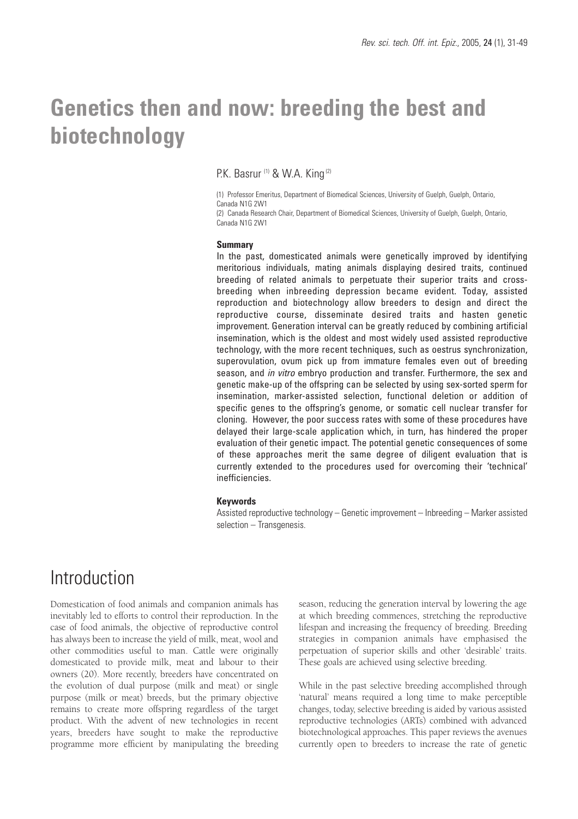# **Genetics then and now: breeding the best and biotechnology**

P.K. Basrur (1) & W.A. King (2)

(1) Professor Emeritus, Department of Biomedical Sciences, University of Guelph, Guelph, Ontario, Canada N1G 2W1

(2) Canada Research Chair, Department of Biomedical Sciences, University of Guelph, Guelph, Ontario, Canada N1G 2W1

#### **Summary**

In the past, domesticated animals were genetically improved by identifying meritorious individuals, mating animals displaying desired traits, continued breeding of related animals to perpetuate their superior traits and crossbreeding when inbreeding depression became evident. Today, assisted reproduction and biotechnology allow breeders to design and direct the reproductive course, disseminate desired traits and hasten genetic improvement. Generation interval can be greatly reduced by combining artificial insemination, which is the oldest and most widely used assisted reproductive technology, with the more recent techniques, such as oestrus synchronization, superovulation, ovum pick up from immature females even out of breeding season, and *in vitro* embryo production and transfer. Furthermore, the sex and genetic make-up of the offspring can be selected by using sex-sorted sperm for insemination, marker-assisted selection, functional deletion or addition of specific genes to the offspring's genome, or somatic cell nuclear transfer for cloning. However, the poor success rates with some of these procedures have delayed their large-scale application which, in turn, has hindered the proper evaluation of their genetic impact. The potential genetic consequences of some of these approaches merit the same degree of diligent evaluation that is currently extended to the procedures used for overcoming their 'technical' inefficiencies.

#### **Keywords**

Assisted reproductive technology – Genetic improvement – Inbreeding – Marker assisted selection – Transgenesis.

### Introduction

Domestication of food animals and companion animals has inevitably led to efforts to control their reproduction. In the case of food animals, the objective of reproductive control has always been to increase the yield of milk, meat, wool and other commodities useful to man. Cattle were originally domesticated to provide milk, meat and labour to their owners (20). More recently, breeders have concentrated on the evolution of dual purpose (milk and meat) or single purpose (milk or meat) breeds, but the primary objective remains to create more offspring regardless of the target product. With the advent of new technologies in recent years, breeders have sought to make the reproductive programme more efficient by manipulating the breeding

season, reducing the generation interval by lowering the age at which breeding commences, stretching the reproductive lifespan and increasing the frequency of breeding. Breeding strategies in companion animals have emphasised the perpetuation of superior skills and other 'desirable' traits. These goals are achieved using selective breeding.

While in the past selective breeding accomplished through 'natural' means required a long time to make perceptible changes, today, selective breeding is aided by various assisted reproductive technologies (ARTs) combined with advanced biotechnological approaches. This paper reviews the avenues currently open to breeders to increase the rate of genetic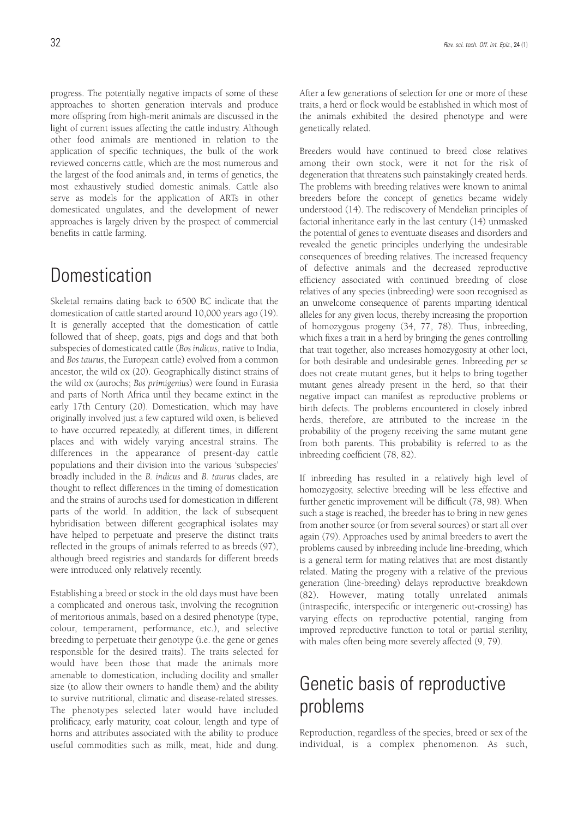progress. The potentially negative impacts of some of these approaches to shorten generation intervals and produce more offspring from high-merit animals are discussed in the light of current issues affecting the cattle industry. Although other food animals are mentioned in relation to the application of specific techniques, the bulk of the work reviewed concerns cattle, which are the most numerous and the largest of the food animals and, in terms of genetics, the most exhaustively studied domestic animals. Cattle also serve as models for the application of ARTs in other domesticated ungulates, and the development of newer approaches is largely driven by the prospect of commercial benefits in cattle farming.

## **Domestication**

Skeletal remains dating back to 6500 BC indicate that the domestication of cattle started around 10,000 years ago (19). It is generally accepted that the domestication of cattle followed that of sheep, goats, pigs and dogs and that both subspecies of domesticated cattle (*Bos indicus*, native to India, and *Bos taurus*, the European cattle) evolved from a common ancestor, the wild ox (20). Geographically distinct strains of the wild ox (aurochs; *Bos primigenius*) were found in Eurasia and parts of North Africa until they became extinct in the early 17th Century (20). Domestication, which may have originally involved just a few captured wild oxen, is believed to have occurred repeatedly, at different times, in different places and with widely varying ancestral strains. The differences in the appearance of present-day cattle populations and their division into the various 'subspecies' broadly included in the *B. indicus* and *B. taurus* clades, are thought to reflect differences in the timing of domestication and the strains of aurochs used for domestication in different parts of the world. In addition, the lack of subsequent hybridisation between different geographical isolates may have helped to perpetuate and preserve the distinct traits reflected in the groups of animals referred to as breeds (97), although breed registries and standards for different breeds were introduced only relatively recently.

Establishing a breed or stock in the old days must have been a complicated and onerous task, involving the recognition of meritorious animals, based on a desired phenotype (type, colour, temperament, performance, etc.), and selective breeding to perpetuate their genotype (i.e. the gene or genes responsible for the desired traits). The traits selected for would have been those that made the animals more amenable to domestication, including docility and smaller size (to allow their owners to handle them) and the ability to survive nutritional, climatic and disease-related stresses. The phenotypes selected later would have included prolificacy, early maturity, coat colour, length and type of horns and attributes associated with the ability to produce useful commodities such as milk, meat, hide and dung.

After a few generations of selection for one or more of these traits, a herd or flock would be established in which most of the animals exhibited the desired phenotype and were genetically related.

Breeders would have continued to breed close relatives among their own stock, were it not for the risk of degeneration that threatens such painstakingly created herds. The problems with breeding relatives were known to animal breeders before the concept of genetics became widely understood (14). The rediscovery of Mendelian principles of factorial inheritance early in the last century (14) unmasked the potential of genes to eventuate diseases and disorders and revealed the genetic principles underlying the undesirable consequences of breeding relatives. The increased frequency of defective animals and the decreased reproductive efficiency associated with continued breeding of close relatives of any species (inbreeding) were soon recognised as an unwelcome consequence of parents imparting identical alleles for any given locus, thereby increasing the proportion of homozygous progeny (34, 77, 78). Thus, inbreeding, which fixes a trait in a herd by bringing the genes controlling that trait together, also increases homozygosity at other loci, for both desirable and undesirable genes. Inbreeding *per se* does not create mutant genes, but it helps to bring together mutant genes already present in the herd, so that their negative impact can manifest as reproductive problems or birth defects. The problems encountered in closely inbred herds, therefore, are attributed to the increase in the probability of the progeny receiving the same mutant gene from both parents. This probability is referred to as the inbreeding coefficient (78, 82).

If inbreeding has resulted in a relatively high level of homozygosity, selective breeding will be less effective and further genetic improvement will be difficult (78, 98). When such a stage is reached, the breeder has to bring in new genes from another source (or from several sources) or start all over again (79). Approaches used by animal breeders to avert the problems caused by inbreeding include line-breeding, which is a general term for mating relatives that are most distantly related. Mating the progeny with a relative of the previous generation (line-breeding) delays reproductive breakdown (82). However, mating totally unrelated animals (intraspecific, interspecific or intergeneric out-crossing) has varying effects on reproductive potential, ranging from improved reproductive function to total or partial sterility, with males often being more severely affected (9, 79).

## Genetic basis of reproductive problems

Reproduction, regardless of the species, breed or sex of the individual, is a complex phenomenon. As such,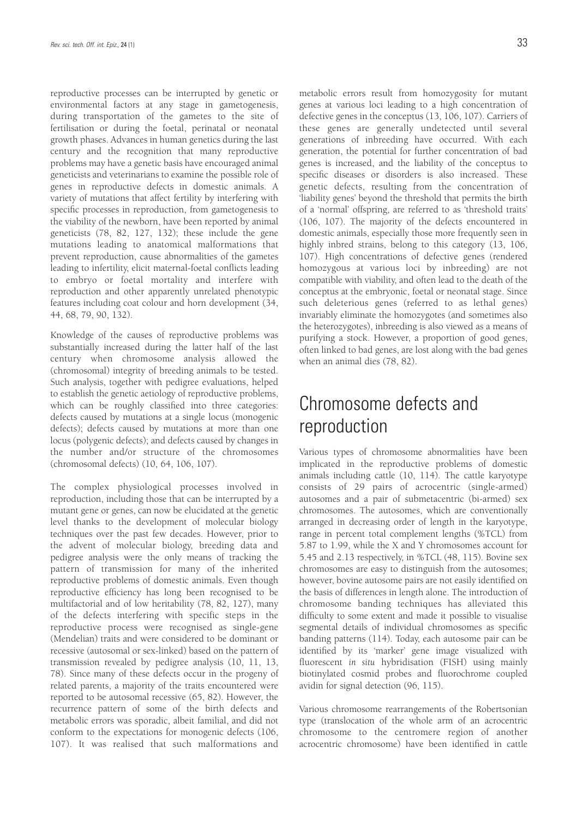reproductive processes can be interrupted by genetic or environmental factors at any stage in gametogenesis, during transportation of the gametes to the site of fertilisation or during the foetal, perinatal or neonatal growth phases. Advances in human genetics during the last century and the recognition that many reproductive problems may have a genetic basis have encouraged animal geneticists and veterinarians to examine the possible role of genes in reproductive defects in domestic animals. A variety of mutations that affect fertility by interfering with specific processes in reproduction, from gametogenesis to the viability of the newborn, have been reported by animal geneticists (78, 82, 127, 132); these include the gene mutations leading to anatomical malformations that prevent reproduction, cause abnormalities of the gametes leading to infertility, elicit maternal-foetal conflicts leading to embryo or foetal mortality and interfere with reproduction and other apparently unrelated phenotypic features including coat colour and horn development (34, 44, 68, 79, 90, 132).

Knowledge of the causes of reproductive problems was substantially increased during the latter half of the last century when chromosome analysis allowed the (chromosomal) integrity of breeding animals to be tested. Such analysis, together with pedigree evaluations, helped to establish the genetic aetiology of reproductive problems, which can be roughly classified into three categories: defects caused by mutations at a single locus (monogenic defects); defects caused by mutations at more than one locus (polygenic defects); and defects caused by changes in the number and/or structure of the chromosomes (chromosomal defects) (10, 64, 106, 107).

The complex physiological processes involved in reproduction, including those that can be interrupted by a mutant gene or genes, can now be elucidated at the genetic level thanks to the development of molecular biology techniques over the past few decades. However, prior to the advent of molecular biology, breeding data and pedigree analysis were the only means of tracking the pattern of transmission for many of the inherited reproductive problems of domestic animals. Even though reproductive efficiency has long been recognised to be multifactorial and of low heritability (78, 82, 127), many of the defects interfering with specific steps in the reproductive process were recognised as single-gene (Mendelian) traits and were considered to be dominant or recessive (autosomal or sex-linked) based on the pattern of transmission revealed by pedigree analysis (10, 11, 13, 78). Since many of these defects occur in the progeny of related parents, a majority of the traits encountered were reported to be autosomal recessive (65, 82). However, the recurrence pattern of some of the birth defects and metabolic errors was sporadic, albeit familial, and did not conform to the expectations for monogenic defects (106, 107). It was realised that such malformations and

metabolic errors result from homozygosity for mutant genes at various loci leading to a high concentration of defective genes in the conceptus (13, 106, 107). Carriers of these genes are generally undetected until several generations of inbreeding have occurred. With each generation, the potential for further concentration of bad genes is increased, and the liability of the conceptus to specific diseases or disorders is also increased. These genetic defects, resulting from the concentration of 'liability genes' beyond the threshold that permits the birth of a 'normal' offspring, are referred to as 'threshold traits' (106, 107). The majority of the defects encountered in domestic animals, especially those more frequently seen in highly inbred strains, belong to this category (13, 106, 107). High concentrations of defective genes (rendered homozygous at various loci by inbreeding) are not compatible with viability, and often lead to the death of the conceptus at the embryonic, foetal or neonatal stage. Since such deleterious genes (referred to as lethal genes) invariably eliminate the homozygotes (and sometimes also the heterozygotes), inbreeding is also viewed as a means of purifying a stock. However, a proportion of good genes, often linked to bad genes, are lost along with the bad genes when an animal dies (78, 82).

## Chromosome defects and reproduction

Various types of chromosome abnormalities have been implicated in the reproductive problems of domestic animals including cattle (10, 114). The cattle karyotype consists of 29 pairs of acrocentric (single-armed) autosomes and a pair of submetacentric (bi-armed) sex chromosomes. The autosomes, which are conventionally arranged in decreasing order of length in the karyotype, range in percent total complement lengths (%TCL) from 5.87 to 1.99, while the X and Y chromosomes account for 5.45 and 2.13 respectively, in %TCL (48, 115). Bovine sex chromosomes are easy to distinguish from the autosomes; however, bovine autosome pairs are not easily identified on the basis of differences in length alone. The introduction of chromosome banding techniques has alleviated this difficulty to some extent and made it possible to visualise segmental details of individual chromosomes as specific banding patterns (114). Today, each autosome pair can be identified by its 'marker' gene image visualized with fluorescent *in situ* hybridisation (FISH) using mainly biotinylated cosmid probes and fluorochrome coupled avidin for signal detection (96, 115).

Various chromosome rearrangements of the Robertsonian type (translocation of the whole arm of an acrocentric chromosome to the centromere region of another acrocentric chromosome) have been identified in cattle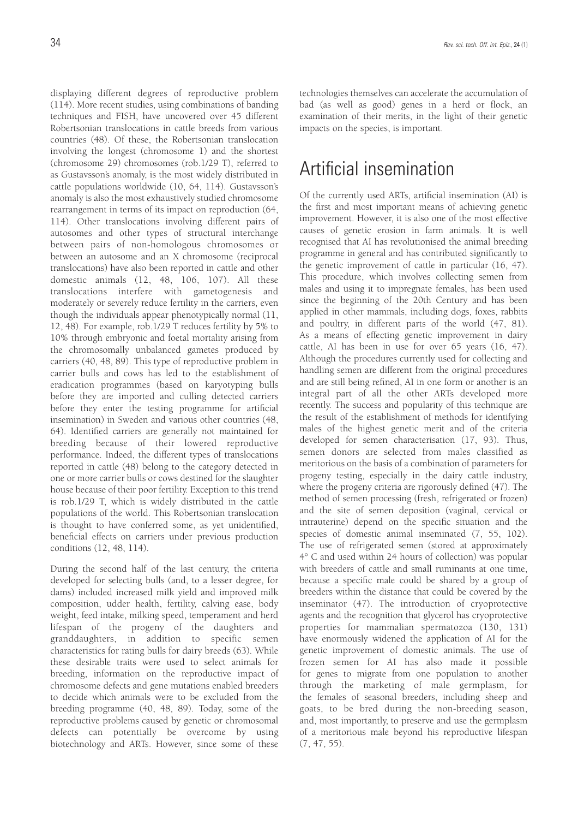displaying different degrees of reproductive problem (114). More recent studies, using combinations of banding techniques and FISH, have uncovered over 45 different Robertsonian translocations in cattle breeds from various countries (48). Of these, the Robertsonian translocation involving the longest (chromosome 1) and the shortest (chromosome 29) chromosomes (rob.1/29 T), referred to as Gustavsson's anomaly, is the most widely distributed in cattle populations worldwide (10, 64, 114). Gustavsson's anomaly is also the most exhaustively studied chromosome rearrangement in terms of its impact on reproduction (64, 114). Other translocations involving different pairs of autosomes and other types of structural interchange between pairs of non-homologous chromosomes or between an autosome and an X chromosome (reciprocal translocations) have also been reported in cattle and other domestic animals (12, 48, 106, 107). All these translocations interfere with gametogenesis and moderately or severely reduce fertility in the carriers, even though the individuals appear phenotypically normal (11, 12, 48). For example, rob.1/29 T reduces fertility by 5% to 10% through embryonic and foetal mortality arising from the chromosomally unbalanced gametes produced by carriers (40, 48, 89). This type of reproductive problem in carrier bulls and cows has led to the establishment of eradication programmes (based on karyotyping bulls before they are imported and culling detected carriers before they enter the testing programme for artificial insemination) in Sweden and various other countries (48, 64). Identified carriers are generally not maintained for breeding because of their lowered reproductive performance. Indeed, the different types of translocations reported in cattle (48) belong to the category detected in one or more carrier bulls or cows destined for the slaughter house because of their poor fertility. Exception to this trend is rob.1/29 T, which is widely distributed in the cattle populations of the world. This Robertsonian translocation is thought to have conferred some, as yet unidentified, beneficial effects on carriers under previous production conditions (12, 48, 114).

During the second half of the last century, the criteria developed for selecting bulls (and, to a lesser degree, for dams) included increased milk yield and improved milk composition, udder health, fertility, calving ease, body weight, feed intake, milking speed, temperament and herd lifespan of the progeny of the daughters and granddaughters, in addition to specific semen characteristics for rating bulls for dairy breeds (63). While these desirable traits were used to select animals for breeding, information on the reproductive impact of chromosome defects and gene mutations enabled breeders to decide which animals were to be excluded from the breeding programme (40, 48, 89). Today, some of the reproductive problems caused by genetic or chromosomal defects can potentially be overcome by using biotechnology and ARTs. However, since some of these technologies themselves can accelerate the accumulation of bad (as well as good) genes in a herd or flock, an examination of their merits, in the light of their genetic impacts on the species, is important.

## Artificial insemination

Of the currently used ARTs, artificial insemination (AI) is the first and most important means of achieving genetic improvement. However, it is also one of the most effective causes of genetic erosion in farm animals. It is well recognised that AI has revolutionised the animal breeding programme in general and has contributed significantly to the genetic improvement of cattle in particular (16, 47). This procedure, which involves collecting semen from males and using it to impregnate females, has been used since the beginning of the 20th Century and has been applied in other mammals, including dogs, foxes, rabbits and poultry, in different parts of the world (47, 81). As a means of effecting genetic improvement in dairy cattle, AI has been in use for over 65 years (16, 47). Although the procedures currently used for collecting and handling semen are different from the original procedures and are still being refined, AI in one form or another is an integral part of all the other ARTs developed more recently. The success and popularity of this technique are the result of the establishment of methods for identifying males of the highest genetic merit and of the criteria developed for semen characterisation (17, 93). Thus, semen donors are selected from males classified as meritorious on the basis of a combination of parameters for progeny testing, especially in the dairy cattle industry, where the progeny criteria are rigorously defined (47). The method of semen processing (fresh, refrigerated or frozen) and the site of semen deposition (vaginal, cervical or intrauterine) depend on the specific situation and the species of domestic animal inseminated (7, 55, 102). The use of refrigerated semen (stored at approximately 4° C and used within 24 hours of collection) was popular with breeders of cattle and small ruminants at one time, because a specific male could be shared by a group of breeders within the distance that could be covered by the inseminator (47). The introduction of cryoprotective agents and the recognition that glycerol has cryoprotective properties for mammalian spermatozoa (130, 131) have enormously widened the application of AI for the genetic improvement of domestic animals. The use of frozen semen for AI has also made it possible for genes to migrate from one population to another through the marketing of male germplasm, for the females of seasonal breeders, including sheep and goats, to be bred during the non-breeding season, and, most importantly, to preserve and use the germplasm of a meritorious male beyond his reproductive lifespan (7, 47, 55).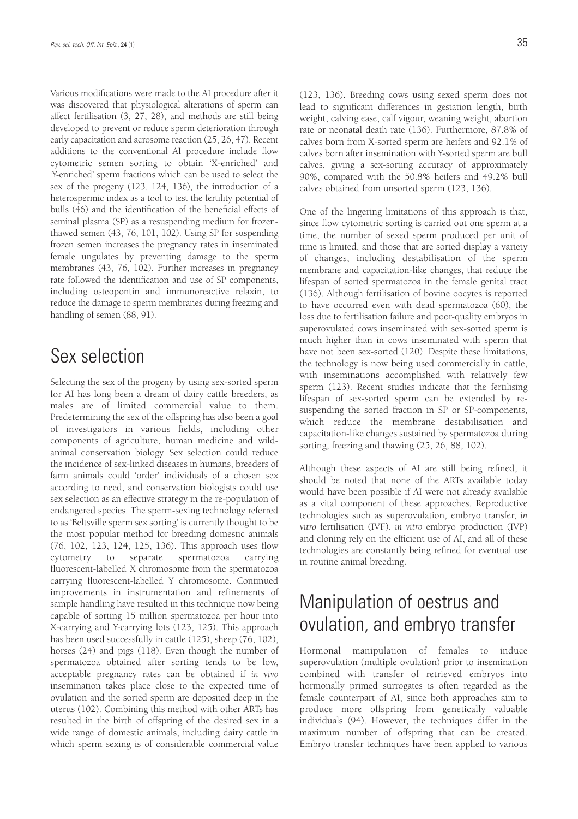Various modifications were made to the AI procedure after it was discovered that physiological alterations of sperm can affect fertilisation (3, 27, 28), and methods are still being developed to prevent or reduce sperm deterioration through early capacitation and acrosome reaction (25, 26, 47). Recent additions to the conventional AI procedure include flow cytometric semen sorting to obtain 'X-enriched' and 'Y-enriched' sperm fractions which can be used to select the sex of the progeny (123, 124, 136), the introduction of a heterospermic index as a tool to test the fertility potential of bulls (46) and the identification of the beneficial effects of seminal plasma (SP) as a resuspending medium for frozenthawed semen (43, 76, 101, 102). Using SP for suspending frozen semen increases the pregnancy rates in inseminated female ungulates by preventing damage to the sperm membranes (43, 76, 102). Further increases in pregnancy rate followed the identification and use of SP components, including osteopontin and immunoreactive relaxin, to reduce the damage to sperm membranes during freezing and handling of semen (88, 91).

## Sex selection

Selecting the sex of the progeny by using sex-sorted sperm for AI has long been a dream of dairy cattle breeders, as males are of limited commercial value to them. Predetermining the sex of the offspring has also been a goal of investigators in various fields, including other components of agriculture, human medicine and wildanimal conservation biology. Sex selection could reduce the incidence of sex-linked diseases in humans, breeders of farm animals could 'order' individuals of a chosen sex according to need, and conservation biologists could use sex selection as an effective strategy in the re-population of endangered species. The sperm-sexing technology referred to as 'Beltsville sperm sex sorting' is currently thought to be the most popular method for breeding domestic animals (76, 102, 123, 124, 125, 136). This approach uses flow cytometry to separate spermatozoa carrying fluorescent-labelled X chromosome from the spermatozoa carrying fluorescent-labelled Y chromosome. Continued improvements in instrumentation and refinements of sample handling have resulted in this technique now being capable of sorting 15 million spermatozoa per hour into X-carrying and Y-carrying lots (123, 125). This approach has been used successfully in cattle (125), sheep (76, 102), horses (24) and pigs (118). Even though the number of spermatozoa obtained after sorting tends to be low, acceptable pregnancy rates can be obtained if *in vivo* insemination takes place close to the expected time of ovulation and the sorted sperm are deposited deep in the uterus (102). Combining this method with other ARTs has resulted in the birth of offspring of the desired sex in a wide range of domestic animals, including dairy cattle in which sperm sexing is of considerable commercial value

(123, 136). Breeding cows using sexed sperm does not lead to significant differences in gestation length, birth weight, calving ease, calf vigour, weaning weight, abortion rate or neonatal death rate (136). Furthermore, 87.8% of calves born from X-sorted sperm are heifers and 92.1% of calves born after insemination with Y-sorted sperm are bull calves, giving a sex-sorting accuracy of approximately 90%, compared with the 50.8% heifers and 49.2% bull calves obtained from unsorted sperm (123, 136).

One of the lingering limitations of this approach is that, since flow cytometric sorting is carried out one sperm at a time, the number of sexed sperm produced per unit of time is limited, and those that are sorted display a variety of changes, including destabilisation of the sperm membrane and capacitation-like changes, that reduce the lifespan of sorted spermatozoa in the female genital tract (136). Although fertilisation of bovine oocytes is reported to have occurred even with dead spermatozoa (60), the loss due to fertilisation failure and poor-quality embryos in superovulated cows inseminated with sex-sorted sperm is much higher than in cows inseminated with sperm that have not been sex-sorted (120). Despite these limitations, the technology is now being used commercially in cattle, with inseminations accomplished with relatively few sperm (123). Recent studies indicate that the fertilising lifespan of sex-sorted sperm can be extended by resuspending the sorted fraction in SP or SP-components, which reduce the membrane destabilisation and capacitation-like changes sustained by spermatozoa during sorting, freezing and thawing (25, 26, 88, 102).

Although these aspects of AI are still being refined, it should be noted that none of the ARTs available today would have been possible if AI were not already available as a vital component of these approaches. Reproductive technologies such as superovulation, embryo transfer, *in vitro* fertilisation (IVF), *in vitro* embryo production (IVP) and cloning rely on the efficient use of AI, and all of these technologies are constantly being refined for eventual use in routine animal breeding.

## Manipulation of oestrus and ovulation, and embryo transfer

Hormonal manipulation of females to induce superovulation (multiple ovulation) prior to insemination combined with transfer of retrieved embryos into hormonally primed surrogates is often regarded as the female counterpart of AI, since both approaches aim to produce more offspring from genetically valuable individuals (94). However, the techniques differ in the maximum number of offspring that can be created. Embryo transfer techniques have been applied to various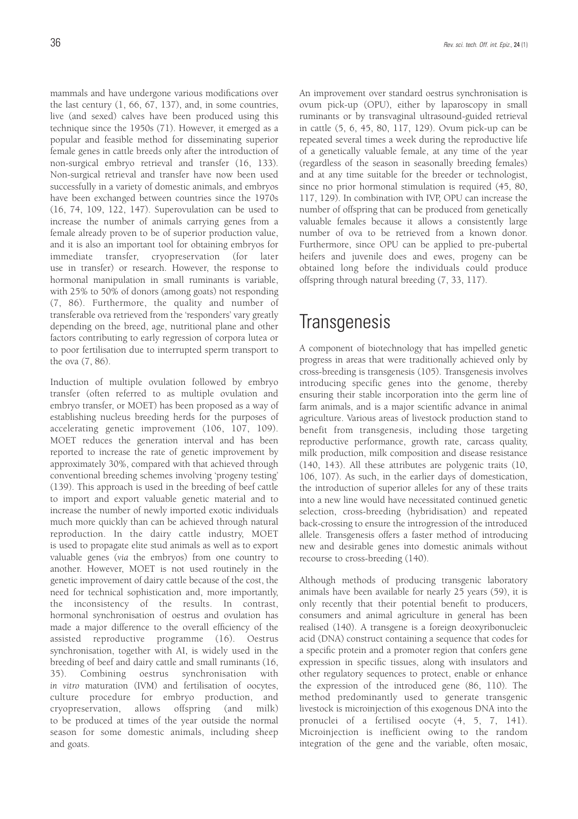mammals and have undergone various modifications over the last century (1, 66, 67, 137), and, in some countries, live (and sexed) calves have been produced using this technique since the 1950s (71). However, it emerged as a popular and feasible method for disseminating superior female genes in cattle breeds only after the introduction of non-surgical embryo retrieval and transfer (16, 133). Non-surgical retrieval and transfer have now been used successfully in a variety of domestic animals, and embryos have been exchanged between countries since the 1970s (16, 74, 109, 122, 147). Superovulation can be used to increase the number of animals carrying genes from a female already proven to be of superior production value, and it is also an important tool for obtaining embryos for immediate transfer, cryopreservation (for later use in transfer) or research. However, the response to hormonal manipulation in small ruminants is variable, with 25% to 50% of donors (among goats) not responding (7, 86). Furthermore, the quality and number of transferable ova retrieved from the 'responders' vary greatly depending on the breed, age, nutritional plane and other factors contributing to early regression of corpora lutea or to poor fertilisation due to interrupted sperm transport to the ova (7, 86).

Induction of multiple ovulation followed by embryo transfer (often referred to as multiple ovulation and embryo transfer, or MOET) has been proposed as a way of establishing nucleus breeding herds for the purposes of accelerating genetic improvement (106, 107, 109). MOET reduces the generation interval and has been reported to increase the rate of genetic improvement by approximately 30%, compared with that achieved through conventional breeding schemes involving 'progeny testing' (139). This approach is used in the breeding of beef cattle to import and export valuable genetic material and to increase the number of newly imported exotic individuals much more quickly than can be achieved through natural reproduction. In the dairy cattle industry, MOET is used to propagate elite stud animals as well as to export valuable genes (*via* the embryos) from one country to another. However, MOET is not used routinely in the genetic improvement of dairy cattle because of the cost, the need for technical sophistication and, more importantly, the inconsistency of the results. In contrast, hormonal synchronisation of oestrus and ovulation has made a major difference to the overall efficiency of the assisted reproductive programme (16). Oestrus synchronisation, together with AI, is widely used in the breeding of beef and dairy cattle and small ruminants (16, 35). Combining oestrus synchronisation with *in vitro* maturation (IVM) and fertilisation of oocytes, culture procedure for embryo production, and cryopreservation, allows offspring (and milk) to be produced at times of the year outside the normal season for some domestic animals, including sheep and goats.

An improvement over standard oestrus synchronisation is ovum pick-up (OPU), either by laparoscopy in small ruminants or by transvaginal ultrasound-guided retrieval in cattle (5, 6, 45, 80, 117, 129). Ovum pick-up can be repeated several times a week during the reproductive life of a genetically valuable female, at any time of the year (regardless of the season in seasonally breeding females) and at any time suitable for the breeder or technologist, since no prior hormonal stimulation is required (45, 80, 117, 129). In combination with IVP, OPU can increase the number of offspring that can be produced from genetically valuable females because it allows a consistently large number of ova to be retrieved from a known donor. Furthermore, since OPU can be applied to pre-pubertal heifers and juvenile does and ewes, progeny can be obtained long before the individuals could produce offspring through natural breeding (7, 33, 117).

### **Transgenesis**

A component of biotechnology that has impelled genetic progress in areas that were traditionally achieved only by cross-breeding is transgenesis (105). Transgenesis involves introducing specific genes into the genome, thereby ensuring their stable incorporation into the germ line of farm animals, and is a major scientific advance in animal agriculture. Various areas of livestock production stand to benefit from transgenesis, including those targeting reproductive performance, growth rate, carcass quality, milk production, milk composition and disease resistance (140, 143). All these attributes are polygenic traits (10, 106, 107). As such, in the earlier days of domestication, the introduction of superior alleles for any of these traits into a new line would have necessitated continued genetic selection, cross-breeding (hybridisation) and repeated back-crossing to ensure the introgression of the introduced allele. Transgenesis offers a faster method of introducing new and desirable genes into domestic animals without recourse to cross-breeding (140).

Although methods of producing transgenic laboratory animals have been available for nearly 25 years (59), it is only recently that their potential benefit to producers, consumers and animal agriculture in general has been realised (140). A transgene is a foreign deoxyribonucleic acid (DNA) construct containing a sequence that codes for a specific protein and a promoter region that confers gene expression in specific tissues, along with insulators and other regulatory sequences to protect, enable or enhance the expression of the introduced gene (86, 110). The method predominantly used to generate transgenic livestock is microinjection of this exogenous DNA into the pronuclei of a fertilised oocyte (4, 5, 7, 141). Microinjection is inefficient owing to the random integration of the gene and the variable, often mosaic,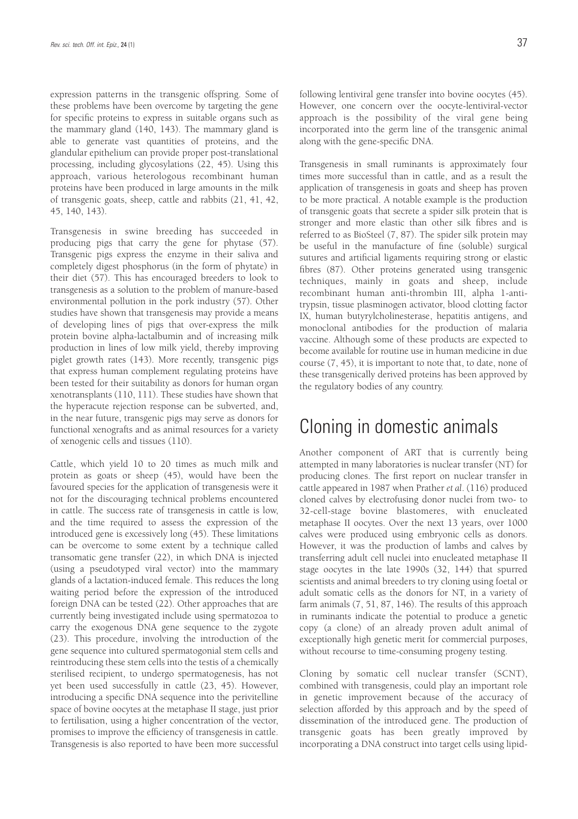expression patterns in the transgenic offspring. Some of these problems have been overcome by targeting the gene for specific proteins to express in suitable organs such as the mammary gland (140, 143). The mammary gland is able to generate vast quantities of proteins, and the glandular epithelium can provide proper post-translational processing, including glycosylations (22, 45). Using this approach, various heterologous recombinant human proteins have been produced in large amounts in the milk of transgenic goats, sheep, cattle and rabbits (21, 41, 42, 45, 140, 143).

Transgenesis in swine breeding has succeeded in producing pigs that carry the gene for phytase (57). Transgenic pigs express the enzyme in their saliva and completely digest phosphorus (in the form of phytate) in their diet (57). This has encouraged breeders to look to transgenesis as a solution to the problem of manure-based environmental pollution in the pork industry (57). Other studies have shown that transgenesis may provide a means of developing lines of pigs that over-express the milk protein bovine alpha-lactalbumin and of increasing milk production in lines of low milk yield, thereby improving piglet growth rates (143). More recently, transgenic pigs that express human complement regulating proteins have been tested for their suitability as donors for human organ xenotransplants (110, 111). These studies have shown that the hyperacute rejection response can be subverted, and, in the near future, transgenic pigs may serve as donors for functional xenografts and as animal resources for a variety of xenogenic cells and tissues (110).

Cattle, which yield 10 to 20 times as much milk and protein as goats or sheep (45), would have been the favoured species for the application of transgenesis were it not for the discouraging technical problems encountered in cattle. The success rate of transgenesis in cattle is low, and the time required to assess the expression of the introduced gene is excessively long (45). These limitations can be overcome to some extent by a technique called transomatic gene transfer (22), in which DNA is injected (using a pseudotyped viral vector) into the mammary glands of a lactation-induced female. This reduces the long waiting period before the expression of the introduced foreign DNA can be tested (22). Other approaches that are currently being investigated include using spermatozoa to carry the exogenous DNA gene sequence to the zygote (23). This procedure, involving the introduction of the gene sequence into cultured spermatogonial stem cells and reintroducing these stem cells into the testis of a chemically sterilised recipient, to undergo spermatogenesis, has not yet been used successfully in cattle (23, 45). However, introducing a specific DNA sequence into the perivitelline space of bovine oocytes at the metaphase II stage, just prior to fertilisation, using a higher concentration of the vector, promises to improve the efficiency of transgenesis in cattle. Transgenesis is also reported to have been more successful

following lentiviral gene transfer into bovine oocytes (45). However, one concern over the oocyte-lentiviral-vector approach is the possibility of the viral gene being incorporated into the germ line of the transgenic animal along with the gene-specific DNA.

Transgenesis in small ruminants is approximately four times more successful than in cattle, and as a result the application of transgenesis in goats and sheep has proven to be more practical. A notable example is the production of transgenic goats that secrete a spider silk protein that is stronger and more elastic than other silk fibres and is referred to as BioSteel (7, 87). The spider silk protein may be useful in the manufacture of fine (soluble) surgical sutures and artificial ligaments requiring strong or elastic fibres (87). Other proteins generated using transgenic techniques, mainly in goats and sheep, include recombinant human anti-thrombin III, alpha 1-antitrypsin, tissue plasminogen activator, blood clotting factor IX, human butyrylcholinesterase, hepatitis antigens, and monoclonal antibodies for the production of malaria vaccine. Although some of these products are expected to become available for routine use in human medicine in due course (7, 45), it is important to note that, to date, none of these transgenically derived proteins has been approved by the regulatory bodies of any country.

### Cloning in domestic animals

Another component of ART that is currently being attempted in many laboratories is nuclear transfer (NT) for producing clones. The first report on nuclear transfer in cattle appeared in 1987 when Prather *et al*. (116) produced cloned calves by electrofusing donor nuclei from two- to 32-cell-stage bovine blastomeres, with enucleated metaphase II oocytes. Over the next 13 years, over 1000 calves were produced using embryonic cells as donors. However, it was the production of lambs and calves by transferring adult cell nuclei into enucleated metaphase II stage oocytes in the late 1990s (32, 144) that spurred scientists and animal breeders to try cloning using foetal or adult somatic cells as the donors for NT, in a variety of farm animals (7, 51, 87, 146). The results of this approach in ruminants indicate the potential to produce a genetic copy (a clone) of an already proven adult animal of exceptionally high genetic merit for commercial purposes, without recourse to time-consuming progeny testing.

Cloning by somatic cell nuclear transfer (SCNT), combined with transgenesis, could play an important role in genetic improvement because of the accuracy of selection afforded by this approach and by the speed of dissemination of the introduced gene. The production of transgenic goats has been greatly improved by incorporating a DNA construct into target cells using lipid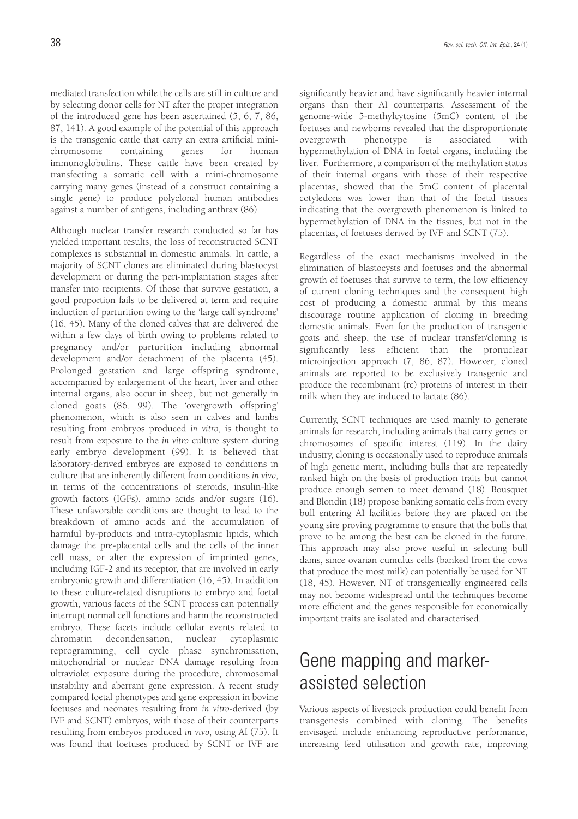mediated transfection while the cells are still in culture and by selecting donor cells for NT after the proper integration of the introduced gene has been ascertained (5, 6, 7, 86, 87, 141). A good example of the potential of this approach is the transgenic cattle that carry an extra artificial minichromosome containing genes for human immunoglobulins. These cattle have been created by transfecting a somatic cell with a mini-chromosome carrying many genes (instead of a construct containing a single gene) to produce polyclonal human antibodies against a number of antigens, including anthrax (86).

Although nuclear transfer research conducted so far has yielded important results, the loss of reconstructed SCNT complexes is substantial in domestic animals. In cattle, a majority of SCNT clones are eliminated during blastocyst development or during the peri-implantation stages after transfer into recipients. Of those that survive gestation, a good proportion fails to be delivered at term and require induction of parturition owing to the 'large calf syndrome' (16, 45). Many of the cloned calves that are delivered die within a few days of birth owing to problems related to pregnancy and/or parturition including abnormal development and/or detachment of the placenta (45). Prolonged gestation and large offspring syndrome, accompanied by enlargement of the heart, liver and other internal organs, also occur in sheep, but not generally in cloned goats (86, 99). The 'overgrowth offspring' phenomenon, which is also seen in calves and lambs resulting from embryos produced *in vitro*, is thought to result from exposure to the *in vitro* culture system during early embryo development (99). It is believed that laboratory-derived embryos are exposed to conditions in culture that are inherently different from conditions *in vivo*, in terms of the concentrations of steroids, insulin-like growth factors (IGFs), amino acids and/or sugars (16). These unfavorable conditions are thought to lead to the breakdown of amino acids and the accumulation of harmful by-products and intra-cytoplasmic lipids, which damage the pre-placental cells and the cells of the inner cell mass, or alter the expression of imprinted genes, including IGF-2 and its receptor, that are involved in early embryonic growth and differentiation (16, 45). In addition to these culture-related disruptions to embryo and foetal growth, various facets of the SCNT process can potentially interrupt normal cell functions and harm the reconstructed embryo. These facets include cellular events related to chromatin decondensation, nuclear cytoplasmic reprogramming, cell cycle phase synchronisation, mitochondrial or nuclear DNA damage resulting from ultraviolet exposure during the procedure, chromosomal instability and aberrant gene expression. A recent study compared foetal phenotypes and gene expression in bovine foetuses and neonates resulting from *in vitro*-derived (by IVF and SCNT) embryos, with those of their counterparts resulting from embryos produced *in vivo*, using AI (75). It was found that foetuses produced by SCNT or IVF are significantly heavier and have significantly heavier internal organs than their AI counterparts. Assessment of the genome-wide 5-methylcytosine (5mC) content of the foetuses and newborns revealed that the disproportionate overgrowth phenotype is associated with hypermethylation of DNA in foetal organs, including the liver. Furthermore, a comparison of the methylation status of their internal organs with those of their respective placentas, showed that the 5mC content of placental cotyledons was lower than that of the foetal tissues indicating that the overgrowth phenomenon is linked to hypermethylation of DNA in the tissues, but not in the placentas, of foetuses derived by IVF and SCNT (75).

Regardless of the exact mechanisms involved in the elimination of blastocysts and foetuses and the abnormal growth of foetuses that survive to term, the low efficiency of current cloning techniques and the consequent high cost of producing a domestic animal by this means discourage routine application of cloning in breeding domestic animals. Even for the production of transgenic goats and sheep, the use of nuclear transfer/cloning is significantly less efficient than the pronuclear microinjection approach (7, 86, 87). However, cloned animals are reported to be exclusively transgenic and produce the recombinant (rc) proteins of interest in their milk when they are induced to lactate (86).

Currently, SCNT techniques are used mainly to generate animals for research, including animals that carry genes or chromosomes of specific interest (119). In the dairy industry, cloning is occasionally used to reproduce animals of high genetic merit, including bulls that are repeatedly ranked high on the basis of production traits but cannot produce enough semen to meet demand (18). Bousquet and Blondin (18) propose banking somatic cells from every bull entering AI facilities before they are placed on the young sire proving programme to ensure that the bulls that prove to be among the best can be cloned in the future. This approach may also prove useful in selecting bull dams, since ovarian cumulus cells (banked from the cows that produce the most milk) can potentially be used for NT (18, 45). However, NT of transgenically engineered cells may not become widespread until the techniques become more efficient and the genes responsible for economically important traits are isolated and characterised.

## Gene mapping and markerassisted selection

Various aspects of livestock production could benefit from transgenesis combined with cloning. The benefits envisaged include enhancing reproductive performance, increasing feed utilisation and growth rate, improving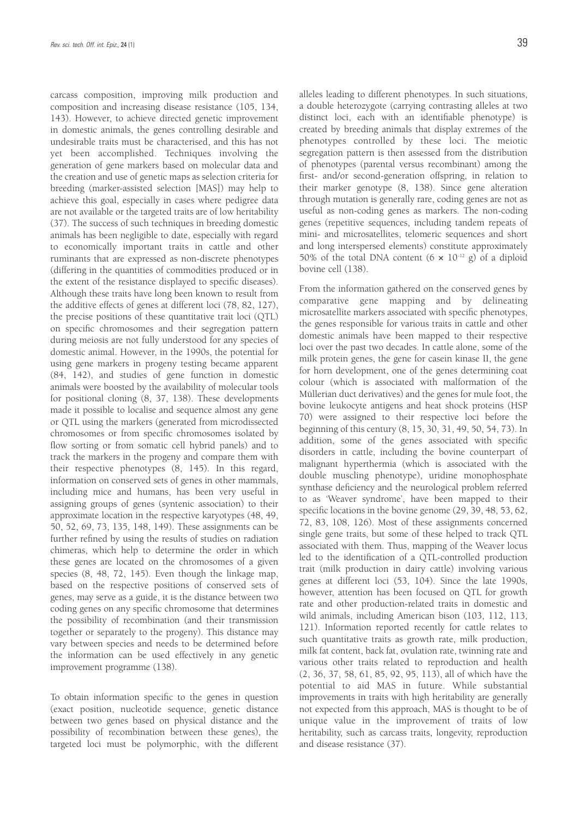carcass composition, improving milk production and composition and increasing disease resistance (105, 134, 143). However, to achieve directed genetic improvement in domestic animals, the genes controlling desirable and undesirable traits must be characterised, and this has not yet been accomplished. Techniques involving the generation of gene markers based on molecular data and the creation and use of genetic maps as selection criteria for breeding (marker-assisted selection [MAS]) may help to achieve this goal, especially in cases where pedigree data are not available or the targeted traits are of low heritability (37). The success of such techniques in breeding domestic animals has been negligible to date, especially with regard to economically important traits in cattle and other ruminants that are expressed as non-discrete phenotypes (differing in the quantities of commodities produced or in the extent of the resistance displayed to specific diseases). Although these traits have long been known to result from the additive effects of genes at different loci (78, 82, 127), the precise positions of these quantitative trait loci (QTL) on specific chromosomes and their segregation pattern during meiosis are not fully understood for any species of domestic animal. However, in the 1990s, the potential for using gene markers in progeny testing became apparent (84, 142), and studies of gene function in domestic animals were boosted by the availability of molecular tools for positional cloning (8, 37, 138). These developments made it possible to localise and sequence almost any gene or QTL using the markers (generated from microdissected chromosomes or from specific chromosomes isolated by flow sorting or from somatic cell hybrid panels) and to track the markers in the progeny and compare them with their respective phenotypes (8, 145). In this regard, information on conserved sets of genes in other mammals, including mice and humans, has been very useful in assigning groups of genes (syntenic association) to their approximate location in the respective karyotypes (48, 49, 50, 52, 69, 73, 135, 148, 149). These assignments can be further refined by using the results of studies on radiation chimeras, which help to determine the order in which these genes are located on the chromosomes of a given species (8, 48, 72, 145). Even though the linkage map, based on the respective positions of conserved sets of genes, may serve as a guide, it is the distance between two coding genes on any specific chromosome that determines the possibility of recombination (and their transmission together or separately to the progeny). This distance may vary between species and needs to be determined before the information can be used effectively in any genetic improvement programme (138).

To obtain information specific to the genes in question (exact position, nucleotide sequence, genetic distance between two genes based on physical distance and the possibility of recombination between these genes), the targeted loci must be polymorphic, with the different alleles leading to different phenotypes. In such situations, a double heterozygote (carrying contrasting alleles at two distinct loci, each with an identifiable phenotype) is created by breeding animals that display extremes of the phenotypes controlled by these loci. The meiotic segregation pattern is then assessed from the distribution of phenotypes (parental versus recombinant) among the first- and/or second-generation offspring, in relation to their marker genotype (8, 138). Since gene alteration through mutation is generally rare, coding genes are not as useful as non-coding genes as markers. The non-coding genes (repetitive sequences, including tandem repeats of mini- and microsatellites, telomeric sequences and short and long interspersed elements) constitute approximately 50% of the total DNA content  $(6 \times 10^{-12} \text{ g})$  of a diploid bovine cell (138).

From the information gathered on the conserved genes by comparative gene mapping and by delineating microsatellite markers associated with specific phenotypes, the genes responsible for various traits in cattle and other domestic animals have been mapped to their respective loci over the past two decades. In cattle alone, some of the milk protein genes, the gene for casein kinase II, the gene for horn development, one of the genes determining coat colour (which is associated with malformation of the Müllerian duct derivatives) and the genes for mule foot, the bovine leukocyte antigens and heat shock proteins (HSP 70) were assigned to their respective loci before the beginning of this century (8, 15, 30, 31, 49, 50, 54, 73). In addition, some of the genes associated with specific disorders in cattle, including the bovine counterpart of malignant hyperthermia (which is associated with the double muscling phenotype), uridine monophosphate synthase deficiency and the neurological problem referred to as 'Weaver syndrome', have been mapped to their specific locations in the bovine genome (29, 39, 48, 53, 62, 72, 83, 108, 126). Most of these assignments concerned single gene traits, but some of these helped to track QTL associated with them. Thus, mapping of the Weaver locus led to the identification of a QTL-controlled production trait (milk production in dairy cattle) involving various genes at different loci (53, 104). Since the late 1990s, however, attention has been focused on QTL for growth rate and other production-related traits in domestic and wild animals, including American bison (103, 112, 113, 121). Information reported recently for cattle relates to such quantitative traits as growth rate, milk production, milk fat content, back fat, ovulation rate, twinning rate and various other traits related to reproduction and health (2, 36, 37, 58, 61, 85, 92, 95, 113), all of which have the potential to aid MAS in future. While substantial improvements in traits with high heritability are generally not expected from this approach, MAS is thought to be of unique value in the improvement of traits of low heritability, such as carcass traits, longevity, reproduction and disease resistance (37).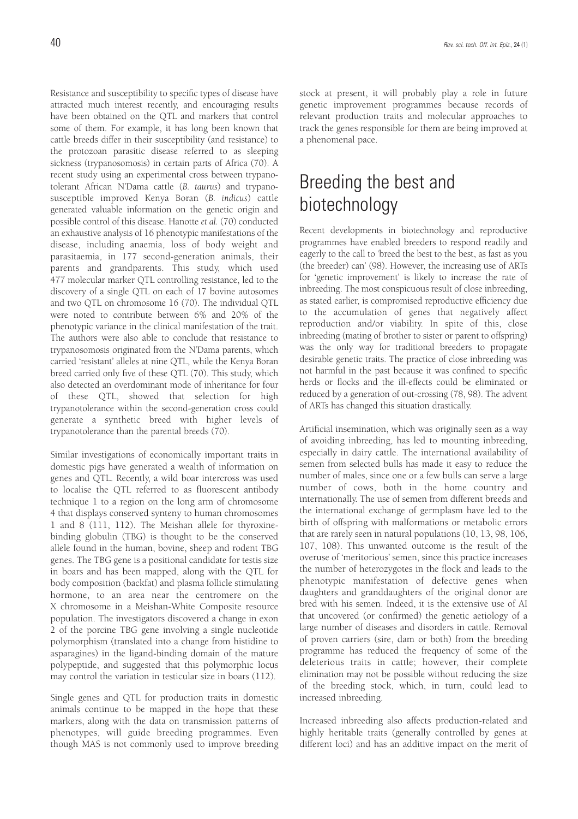Resistance and susceptibility to specific types of disease have attracted much interest recently, and encouraging results have been obtained on the QTL and markers that control some of them. For example, it has long been known that cattle breeds differ in their susceptibility (and resistance) to the protozoan parasitic disease referred to as sleeping sickness (trypanosomosis) in certain parts of Africa (70). A recent study using an experimental cross between trypanotolerant African N'Dama cattle (*B. taurus*) and trypanosusceptible improved Kenya Boran (*B. indicus*) cattle generated valuable information on the genetic origin and possible control of this disease. Hanotte *et al.* (70) conducted an exhaustive analysis of 16 phenotypic manifestations of the disease, including anaemia, loss of body weight and parasitaemia, in 177 second-generation animals, their parents and grandparents. This study, which used 477 molecular marker QTL controlling resistance, led to the discovery of a single QTL on each of 17 bovine autosomes and two QTL on chromosome 16 (70). The individual QTL were noted to contribute between 6% and 20% of the phenotypic variance in the clinical manifestation of the trait. The authors were also able to conclude that resistance to trypanosomosis originated from the N'Dama parents, which carried 'resistant' alleles at nine QTL, while the Kenya Boran breed carried only five of these QTL (70). This study, which also detected an overdominant mode of inheritance for four of these QTL, showed that selection for high trypanotolerance within the second-generation cross could generate a synthetic breed with higher levels of trypanotolerance than the parental breeds (70).

Similar investigations of economically important traits in domestic pigs have generated a wealth of information on genes and QTL. Recently, a wild boar intercross was used to localise the QTL referred to as fluorescent antibody technique 1 to a region on the long arm of chromosome 4 that displays conserved synteny to human chromosomes 1 and 8 (111, 112). The Meishan allele for thyroxinebinding globulin (TBG) is thought to be the conserved allele found in the human, bovine, sheep and rodent TBG genes. The TBG gene is a positional candidate for testis size in boars and has been mapped, along with the QTL for body composition (backfat) and plasma follicle stimulating hormone, to an area near the centromere on the X chromosome in a Meishan-White Composite resource population. The investigators discovered a change in exon 2 of the porcine TBG gene involving a single nucleotide polymorphism (translated into a change from histidine to asparagines) in the ligand-binding domain of the mature polypeptide, and suggested that this polymorphic locus may control the variation in testicular size in boars (112).

Single genes and QTL for production traits in domestic animals continue to be mapped in the hope that these markers, along with the data on transmission patterns of phenotypes, will guide breeding programmes. Even though MAS is not commonly used to improve breeding

stock at present, it will probably play a role in future genetic improvement programmes because records of relevant production traits and molecular approaches to track the genes responsible for them are being improved at a phenomenal pace.

## Breeding the best and biotechnology

Recent developments in biotechnology and reproductive programmes have enabled breeders to respond readily and eagerly to the call to 'breed the best to the best, as fast as you (the breeder) can' (98). However, the increasing use of ARTs for 'genetic improvement' is likely to increase the rate of inbreeding. The most conspicuous result of close inbreeding, as stated earlier, is compromised reproductive efficiency due to the accumulation of genes that negatively affect reproduction and/or viability. In spite of this, close inbreeding (mating of brother to sister or parent to offspring) was the only way for traditional breeders to propagate desirable genetic traits. The practice of close inbreeding was not harmful in the past because it was confined to specific herds or flocks and the ill-effects could be eliminated or reduced by a generation of out-crossing (78, 98). The advent of ARTs has changed this situation drastically.

Artificial insemination, which was originally seen as a way of avoiding inbreeding, has led to mounting inbreeding, especially in dairy cattle. The international availability of semen from selected bulls has made it easy to reduce the number of males, since one or a few bulls can serve a large number of cows, both in the home country and internationally. The use of semen from different breeds and the international exchange of germplasm have led to the birth of offspring with malformations or metabolic errors that are rarely seen in natural populations (10, 13, 98, 106, 107, 108). This unwanted outcome is the result of the overuse of 'meritorious' semen, since this practice increases the number of heterozygotes in the flock and leads to the phenotypic manifestation of defective genes when daughters and granddaughters of the original donor are bred with his semen. Indeed, it is the extensive use of AI that uncovered (or confirmed) the genetic aetiology of a large number of diseases and disorders in cattle. Removal of proven carriers (sire, dam or both) from the breeding programme has reduced the frequency of some of the deleterious traits in cattle; however, their complete elimination may not be possible without reducing the size of the breeding stock, which, in turn, could lead to increased inbreeding.

Increased inbreeding also affects production-related and highly heritable traits (generally controlled by genes at different loci) and has an additive impact on the merit of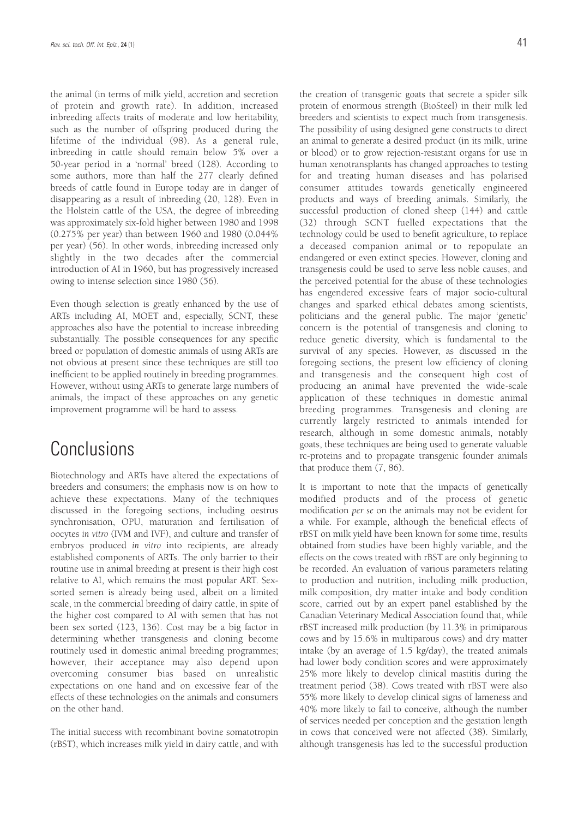the animal (in terms of milk yield, accretion and secretion of protein and growth rate). In addition, increased inbreeding affects traits of moderate and low heritability, such as the number of offspring produced during the lifetime of the individual (98). As a general rule, inbreeding in cattle should remain below 5% over a 50-year period in a 'normal' breed (128). According to some authors, more than half the 277 clearly defined breeds of cattle found in Europe today are in danger of disappearing as a result of inbreeding (20, 128). Even in the Holstein cattle of the USA, the degree of inbreeding was approximately six-fold higher between 1980 and 1998 (0.275% per year) than between 1960 and 1980 (0.044% per year) (56). In other words, inbreeding increased only slightly in the two decades after the commercial introduction of AI in 1960, but has progressively increased owing to intense selection since 1980 (56).

Even though selection is greatly enhanced by the use of ARTs including AI, MOET and, especially, SCNT, these approaches also have the potential to increase inbreeding substantially. The possible consequences for any specific breed or population of domestic animals of using ARTs are not obvious at present since these techniques are still too inefficient to be applied routinely in breeding programmes. However, without using ARTs to generate large numbers of animals, the impact of these approaches on any genetic improvement programme will be hard to assess.

### **Conclusions**

Biotechnology and ARTs have altered the expectations of breeders and consumers; the emphasis now is on how to achieve these expectations. Many of the techniques discussed in the foregoing sections, including oestrus synchronisation, OPU, maturation and fertilisation of oocytes *in vitro* (IVM and IVF), and culture and transfer of embryos produced *in vitro* into recipients, are already established components of ARTs. The only barrier to their routine use in animal breeding at present is their high cost relative to AI, which remains the most popular ART. Sexsorted semen is already being used, albeit on a limited scale, in the commercial breeding of dairy cattle, in spite of the higher cost compared to AI with semen that has not been sex sorted (123, 136). Cost may be a big factor in determining whether transgenesis and cloning become routinely used in domestic animal breeding programmes; however, their acceptance may also depend upon overcoming consumer bias based on unrealistic expectations on one hand and on excessive fear of the effects of these technologies on the animals and consumers on the other hand.

The initial success with recombinant bovine somatotropin (rBST), which increases milk yield in dairy cattle, and with the creation of transgenic goats that secrete a spider silk protein of enormous strength (BioSteel) in their milk led breeders and scientists to expect much from transgenesis. The possibility of using designed gene constructs to direct an animal to generate a desired product (in its milk, urine or blood) or to grow rejection-resistant organs for use in human xenotransplants has changed approaches to testing for and treating human diseases and has polarised consumer attitudes towards genetically engineered products and ways of breeding animals. Similarly, the successful production of cloned sheep (144) and cattle (32) through SCNT fuelled expectations that the technology could be used to benefit agriculture, to replace a deceased companion animal or to repopulate an endangered or even extinct species. However, cloning and transgenesis could be used to serve less noble causes, and the perceived potential for the abuse of these technologies has engendered excessive fears of major socio-cultural changes and sparked ethical debates among scientists, politicians and the general public. The major 'genetic' concern is the potential of transgenesis and cloning to reduce genetic diversity, which is fundamental to the survival of any species. However, as discussed in the foregoing sections, the present low efficiency of cloning and transgenesis and the consequent high cost of producing an animal have prevented the wide-scale application of these techniques in domestic animal breeding programmes. Transgenesis and cloning are currently largely restricted to animals intended for research, although in some domestic animals, notably goats, these techniques are being used to generate valuable rc-proteins and to propagate transgenic founder animals that produce them (7, 86).

It is important to note that the impacts of genetically modified products and of the process of genetic modification *per se* on the animals may not be evident for a while. For example, although the beneficial effects of rBST on milk yield have been known for some time, results obtained from studies have been highly variable, and the effects on the cows treated with rBST are only beginning to be recorded. An evaluation of various parameters relating to production and nutrition, including milk production, milk composition, dry matter intake and body condition score, carried out by an expert panel established by the Canadian Veterinary Medical Association found that, while rBST increased milk production (by 11.3% in primiparous cows and by 15.6% in multiparous cows) and dry matter intake (by an average of 1.5 kg/day), the treated animals had lower body condition scores and were approximately 25% more likely to develop clinical mastitis during the treatment period (38). Cows treated with rBST were also 55% more likely to develop clinical signs of lameness and 40% more likely to fail to conceive, although the number of services needed per conception and the gestation length in cows that conceived were not affected (38). Similarly, although transgenesis has led to the successful production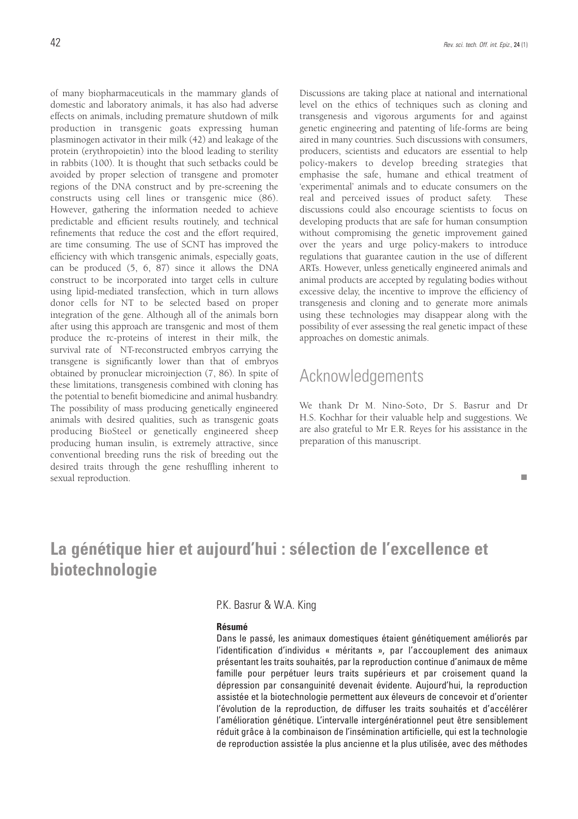of many biopharmaceuticals in the mammary glands of domestic and laboratory animals, it has also had adverse effects on animals, including premature shutdown of milk production in transgenic goats expressing human plasminogen activator in their milk (42) and leakage of the protein (erythropoietin) into the blood leading to sterility in rabbits (100). It is thought that such setbacks could be avoided by proper selection of transgene and promoter regions of the DNA construct and by pre-screening the constructs using cell lines or transgenic mice (86). However, gathering the information needed to achieve predictable and efficient results routinely, and technical refinements that reduce the cost and the effort required, are time consuming. The use of SCNT has improved the efficiency with which transgenic animals, especially goats, can be produced (5, 6, 87) since it allows the DNA construct to be incorporated into target cells in culture using lipid-mediated transfection, which in turn allows donor cells for NT to be selected based on proper integration of the gene. Although all of the animals born after using this approach are transgenic and most of them produce the rc-proteins of interest in their milk, the survival rate of NT-reconstructed embryos carrying the transgene is significantly lower than that of embryos obtained by pronuclear microinjection (7, 86). In spite of these limitations, transgenesis combined with cloning has the potential to benefit biomedicine and animal husbandry. The possibility of mass producing genetically engineered animals with desired qualities, such as transgenic goats producing BioSteel or genetically engineered sheep producing human insulin, is extremely attractive, since conventional breeding runs the risk of breeding out the desired traits through the gene reshuffling inherent to sexual reproduction.

Discussions are taking place at national and international level on the ethics of techniques such as cloning and transgenesis and vigorous arguments for and against genetic engineering and patenting of life-forms are being aired in many countries. Such discussions with consumers, producers, scientists and educators are essential to help policy-makers to develop breeding strategies that emphasise the safe, humane and ethical treatment of 'experimental' animals and to educate consumers on the real and perceived issues of product safety. These discussions could also encourage scientists to focus on developing products that are safe for human consumption without compromising the genetic improvement gained over the years and urge policy-makers to introduce regulations that guarantee caution in the use of different ARTs. However, unless genetically engineered animals and animal products are accepted by regulating bodies without excessive delay, the incentive to improve the efficiency of transgenesis and cloning and to generate more animals using these technologies may disappear along with the possibility of ever assessing the real genetic impact of these approaches on domestic animals.

#### Acknowledgements

We thank Dr M. Nino-Soto, Dr S. Basrur and Dr H.S. Kochhar for their valuable help and suggestions. We are also grateful to Mr E.R. Reyes for his assistance in the preparation of this manuscript.

#### п

### **La génétique hier et aujourd'hui : sélection de l'excellence et biotechnologie**

P.K. Basrur & W.A. King

#### **Résumé**

Dans le passé, les animaux domestiques étaient génétiquement améliorés par l'identification d'individus « méritants », par l'accouplement des animaux présentant les traits souhaités, par la reproduction continue d'animaux de même famille pour perpétuer leurs traits supérieurs et par croisement quand la dépression par consanguinité devenait évidente. Aujourd'hui, la reproduction assistée et la biotechnologie permettent aux éleveurs de concevoir et d'orienter l'évolution de la reproduction, de diffuser les traits souhaités et d'accélérer l'amélioration génétique. L'intervalle intergénérationnel peut être sensiblement réduit grâce à la combinaison de l'insémination artificielle, qui est la technologie de reproduction assistée la plus ancienne et la plus utilisée, avec des méthodes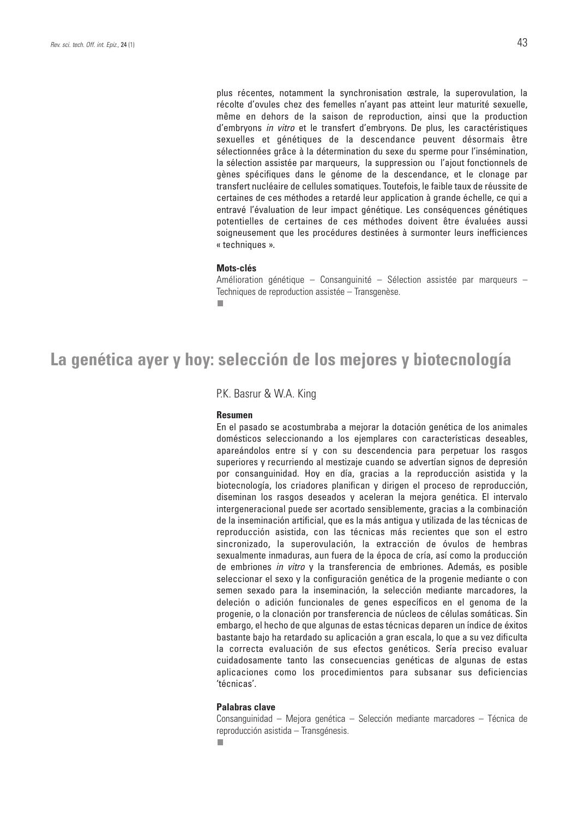plus récentes, notamment la synchronisation œstrale, la superovulation, la récolte d'ovules chez des femelles n'ayant pas atteint leur maturité sexuelle, même en dehors de la saison de reproduction, ainsi que la production d'embryons in vitro et le transfert d'embryons. De plus, les caractéristiques sexuelles et génétiques de la descendance peuvent désormais être sélectionnées grâce à la détermination du sexe du sperme pour l'insémination, la sélection assistée par marqueurs, la suppression ou l'ajout fonctionnels de gènes spécifiques dans le génome de la descendance, et le clonage par transfert nucléaire de cellules somatiques. Toutefois, le faible taux de réussite de certaines de ces méthodes a retardé leur application à grande échelle, ce qui a entravé l'évaluation de leur impact génétique. Les conséquences génétiques potentielles de certaines de ces méthodes doivent être évaluées aussi soigneusement que les procédures destinées à surmonter leurs inefficiences « techniques ».

#### **Mots-clés**

Amélioration génétique – Consanguinité – Sélection assistée par marqueurs – Techniques de reproduction assistée – Transgenèse.

### **La genética ayer y hoy: selección de los mejores y biotecnología**

P.K. Basrur & W.A. King

#### **Resumen**

En el pasado se acostumbraba a mejorar la dotación genética de los animales domésticos seleccionando a los ejemplares con características deseables, apareándolos entre sí y con su descendencia para perpetuar los rasgos superiores y recurriendo al mestizaje cuando se advertían signos de depresión por consanguinidad. Hoy en día, gracias a la reproducción asistida y la biotecnología, los criadores planifican y dirigen el proceso de reproducción, diseminan los rasgos deseados y aceleran la mejora genética. El intervalo intergeneracional puede ser acortado sensiblemente, gracias a la combinación de la inseminación artificial, que es la más antigua y utilizada de las técnicas de reproducción asistida, con las técnicas más recientes que son el estro sincronizado, la superovulación, la extracción de óvulos de hembras sexualmente inmaduras, aun fuera de la época de cría, así como la producción de embriones in vitro y la transferencia de embriones. Además, es posible seleccionar el sexo y la configuración genética de la progenie mediante o con semen sexado para la inseminación, la selección mediante marcadores, la deleción o adición funcionales de genes específicos en el genoma de la progenie, o la clonación por transferencia de núcleos de células somáticas. Sin embargo, el hecho de que algunas de estas técnicas deparen un índice de éxitos bastante bajo ha retardado su aplicación a gran escala, lo que a su vez dificulta la correcta evaluación de sus efectos genéticos. Sería preciso evaluar cuidadosamente tanto las consecuencias genéticas de algunas de estas aplicaciones como los procedimientos para subsanar sus deficiencias 'técnicas'.

#### **Palabras clave**

Consanguinidad – Mejora genética – Selección mediante marcadores – Técnica de reproducción asistida – Transgénesis.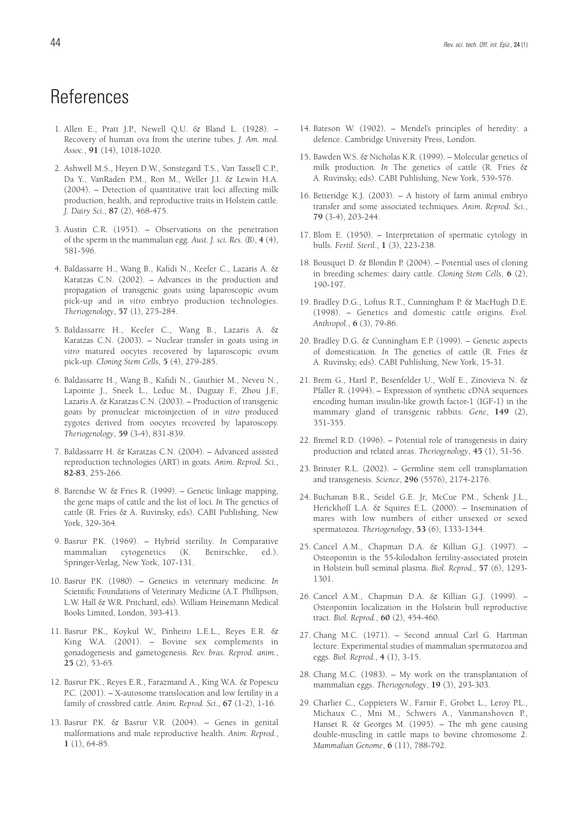- 1. Allen E., Pratt J.P., Newell Q.U. & Bland L. (1928). Recovery of human ova from the uterine tubes. *J. Am. med. Assoc.*, **91** (14), 1018-1020.
- 2. Ashwell M.S., Heyen D.W., Sonstegard T.S., Van Tassell C.P., Da Y., VanRaden P.M., Ron M., Weller J.I. & Lewin H.A. (2004). – Detection of quantitative trait loci affecting milk production, health, and reproductive traits in Holstein cattle. *J. Dairy Sci.*, **87** (2), 468-475.
- 3. Austin C.R. (1951). Observations on the penetration of the sperm in the mammalian egg. *Aust. J. sci. Res. (B)*, **4** (4), 581-596.
- 4. Baldassarre H., Wang B., Kafidi N., Keefer C., Lazaris A. & Karatzas C.N. (2002). – Advances in the production and propagation of transgenic goats using laparoscopic ovum pick-up and *in vitro* embryo production technologies. *Theriogenology*, **57** (1), 275-284.
- 5. Baldassarre H., Keefer C., Wang B., Lazaris A. & Karatzas C.N. (2003). – Nuclear transfer in goats using *in vitro* matured oocytes recovered by laparoscopic ovum pick-up. *Cloning Stem Cells*, **5** (4), 279-285.
- 6. Baldassarre H., Wang B., Kafidi N., Gauthier M., Neveu N., Lapointe J., Sneek L., Leduc M., Duguay F., Zhou J.F., Lazaris A. & Karatzas C.N. (2003). – Production of transgenic goats by pronuclear microinjection of *in vitro* produced zygotes derived from oocytes recovered by laparoscopy. *Theriogenology*, **59** (3-4), 831-839.
- 7. Baldassarre H. & Karatzas C.N. (2004). Advanced assisted reproduction technologies (ART) in goats. *Anim. Reprod. Sci.*, **82-83**, 255-266.
- 8. Barendse W. & Fries R. (1999). Genetic linkage mapping, the gene maps of cattle and the list of loci*. In* The genetics of cattle (R. Fries & A. Ruvinsky, eds). CABI Publishing, New York, 329-364.
- 9. Basrur P.K. (1969). Hybrid sterility*. In* Comparative mammalian cytogenetics (K. Benirschke, ed.). Springer-Verlag, New York, 107-131.
- 10. Basrur P.K. (1980). Genetics in veterinary medicine*. In* Scientific Foundations of Veterinary Medicine (A.T. Phillipson, L.W. Hall & W.R. Pritchard, eds). William Heinemann Medical Books Limited, London, 393-413.
- 11. Basrur P.K., Koykul W., Pinheiro L.E.L., Reyes E.R. & King W.A. (2001). – Bovine sex complements in gonadogenesis and gametogenesis. *Rev. bras. Reprod. anim.*, **25** (2), 53-65.
- 12. Basrur P.K., Reyes E.R., Farazmand A., King W.A. & Popescu P.C. (2001). – X-autosome translocation and low fertility in a family of crossbred cattle. *Anim. Reprod. Sci.*, **67** (1-2), 1-16.
- 13. Basrur P.K. & Basrur V.R. (2004). Genes in genital malformations and male reproductive health. *Anim. Reprod.*, **1** (1), 64-85.
- 14. Bateson W. (1902). Mendel's principles of heredity: a defence. Cambridge University Press, London.
- 15. Bawden W.S. & Nicholas K.R. (1999). Molecular genetics of milk production*. In* The genetics of cattle (R. Fries & A. Ruvinsky, eds). CABI Publishing, New York, 539-576.
- 16. Betteridge K.J. (2003). A history of farm animal embryo transfer and some associated techniques. *Anim. Reprod. Sci.*, **79** (3-4), 203-244.
- 17. Blom E. (1950). Interpretation of spermatic cytology in bulls. *Fertil. Steril.*, **1** (3), 223-238.
- 18. Bousquet D. & Blondin P. (2004). Potential uses of cloning in breeding schemes: dairy cattle. *Cloning Stem Cells*, **6** (2), 190-197.
- 19. Bradley D.G., Loftus R.T., Cunningham P. & MacHugh D.E. (1998). – Genetics and domestic cattle origins. *Evol. Anthropol.*, **6** (3), 79-86.
- 20. Bradley D.G. & Cunningham E.P. (1999). Genetic aspects of domestication*. In* The genetics of cattle (R. Fries & A. Ruvinsky, eds). CABI Publishing, New York, 15-31.
- 21. Brem G., Hartl P., Besenfelder U., Wolf E., Zinovieva N. & Pfaller R. (1994). – Expression of synthetic cDNA sequences encoding human insulin-like growth factor-1 (IGF-1) in the mammary gland of transgenic rabbits. *Gene*, **149** (2), 351-355.
- 22. Bremel R.D. (1996). Potential role of transgenesis in dairy production and related areas. *Theriogenology*, **45** (1), 51-56.
- 23. Brinster R.L. (2002). Germline stem cell transplantation and transgenesis. *Science*, **296** (5576), 2174-2176.
- 24. Buchanan B.R., Seidel G.E. Jr, McCue P.M., Schenk J.L., Herickhoff L.A. & Squires E.L. (2000). – Insemination of mares with low numbers of either unsexed or sexed spermatozoa. *Theriogenology*, **53** (6), 1333-1344.
- 25. Cancel A.M., Chapman D.A. & Killian G.J. (1997). Osteopontin is the 55-kilodalton fertility-associated protein in Holstein bull seminal plasma. *Biol. Reprod.*, **57** (6), 1293- 1301.
- 26. Cancel A.M., Chapman D.A. & Killian G.J. (1999). Osteopontin localization in the Holstein bull reproductive tract. *Biol. Reprod.*, **60** (2), 454-460.
- 27. Chang M.C. (1971). Second annual Carl G. Hartman lecture. Experimental studies of mammalian spermatozoa and eggs. *Biol. Reprod.*, **4** (1), 3-15.
- 28. Chang M.C. (1983). My work on the transplantation of mammalian eggs. *Theriogenology*, **19** (3), 293-303.
- 29. Charlier C., Coppieters W., Farnir F., Grobet L., Leroy P.L., Michaux C., Mni M., Schwers A., Vanmanshoven P., Hanset R. & Georges M. (1995). – The mh gene causing double-muscling in cattle maps to bovine chromosome 2. *Mammalian Genome*, **6** (11), 788-792.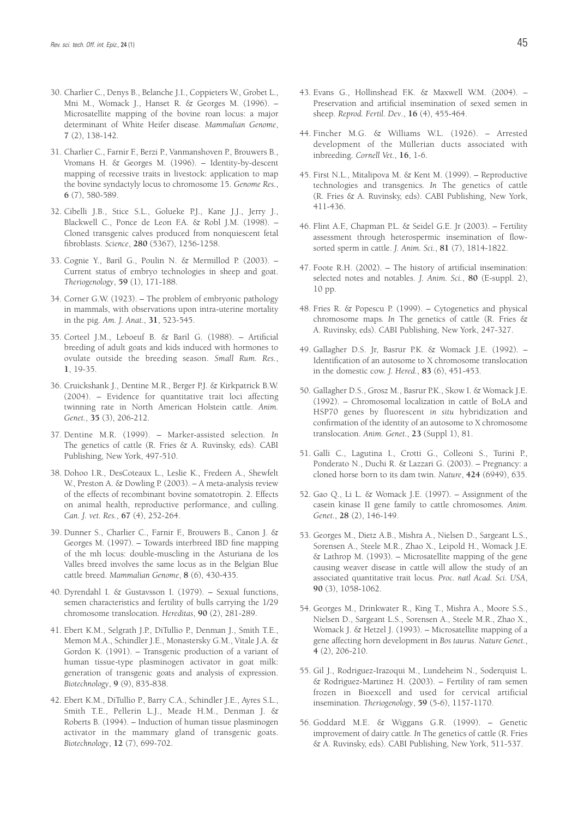- 30. Charlier C., Denys B., Belanche J.I., Coppieters W., Grobet L., Mni M., Womack J., Hanset R. & Georges M. (1996). – Microsatellite mapping of the bovine roan locus: a major determinant of White Heifer disease. *Mammalian Genome*, **7** (2), 138-142.
- 31. Charlier C., Farnir F., Berzi P., Vanmanshoven P., Brouwers B., Vromans H. & Georges M. (1996). – Identity-by-descent mapping of recessive traits in livestock: application to map the bovine syndactyly locus to chromosome 15. *Genome Res.*, **6** (7), 580-589.
- 32. Cibelli J.B., Stice S.L., Golueke P.J., Kane J.J., Jerry J., Blackwell C., Ponce de Leon F.A. & Robl J.M. (1998). – Cloned transgenic calves produced from nonquiescent fetal fibroblasts. *Science*, **280** (5367), 1256-1258.
- 33. Cognie Y., Baril G., Poulin N. & Mermillod P. (2003). Current status of embryo technologies in sheep and goat. *Theriogenology*, **59** (1), 171-188.
- 34. Corner G.W. (1923). The problem of embryonic pathology in mammals, with observations upon intra-uterine mortality in the pig. *Am. J. Anat.*, **31**, 523-545.
- 35. Corteel J.M., Leboeuf B. & Baril G. (1988). Artificial breeding of adult goats and kids induced with hormones to ovulate outside the breeding season. *Small Rum. Res.*, **1**, 19-35.
- 36. Cruickshank J., Dentine M.R., Berger P.J. & Kirkpatrick B.W. (2004). – Evidence for quantitative trait loci affecting twinning rate in North American Holstein cattle. *Anim. Genet.*, **35** (3), 206-212.
- 37. Dentine M.R. (1999). Marker-assisted selection*. In* The genetics of cattle (R. Fries & A. Ruvinsky, eds). CABI Publishing, New York, 497-510.
- 38. Dohoo I.R., DesCoteaux L., Leslie K., Fredeen A., Shewfelt W., Preston A. & Dowling P. (2003). – A meta-analysis review of the effects of recombinant bovine somatotropin. 2. Effects on animal health, reproductive performance, and culling. *Can. J. vet. Res.*, **67** (4), 252-264.
- 39. Dunner S., Charlier C., Farnir F., Brouwers B., Canon J. & Georges M. (1997). – Towards interbreed IBD fine mapping of the mh locus: double-muscling in the Asturiana de los Valles breed involves the same locus as in the Belgian Blue cattle breed. *Mammalian Genome*, **8** (6), 430-435.
- 40. Dyrendahl I. & Gustavsson I. (1979). Sexual functions, semen characteristics and fertility of bulls carrying the 1/29 chromosome translocation. *Hereditas*, **90** (2), 281-289.
- 41. Ebert K.M., Selgrath J.P., DiTullio P., Denman J., Smith T.E., Memon M.A., Schindler J.E., Monastersky G.M., Vitale J.A. & Gordon K. (1991). – Transgenic production of a variant of human tissue-type plasminogen activator in goat milk: generation of transgenic goats and analysis of expression. *Biotechnology*, **9** (9), 835-838.
- 42. Ebert K.M., DiTullio P., Barry C.A., Schindler J.E., Ayres S.L., Smith T.E., Pellerin L.J., Meade H.M., Denman J. & Roberts B. (1994). – Induction of human tissue plasminogen activator in the mammary gland of transgenic goats. *Biotechnology*, **12** (7), 699-702.
- 43. Evans G., Hollinshead F.K. & Maxwell W.M. (2004). Preservation and artificial insemination of sexed semen in sheep. *Reprod. Fertil. Dev*., **16** (4), 455-464.
- 44. Fincher M.G. & Williams W.L. (1926). Arrested development of the Müllerian ducts associated with inbreeding. *Cornell Vet.*, **16**, 1-6.
- 45. First N.L., Mitalipova M. & Kent M. (1999). Reproductive technologies and transgenics*. In* The genetics of cattle (R. Fries & A. Ruvinsky, eds). CABI Publishing, New York, 411-436.
- 46. Flint A.F., Chapman P.L. & Seidel G.E. Jr (2003). Fertility assessment through heterospermic insemination of flowsorted sperm in cattle. *J. Anim. Sci.*, **81** (7), 1814-1822.
- 47. Foote R.H. (2002). The history of artificial insemination: selected notes and notables. *J. Anim. Sci.*, **80** (E-suppl. 2), 10 pp.
- 48. Fries R. & Popescu P. (1999). Cytogenetics and physical chromosome maps*. In* The genetics of cattle (R. Fries & A. Ruvinsky, eds). CABI Publishing, New York, 247-327.
- 49. Gallagher D.S. Jr, Basrur P.K. & Womack J.E. (1992). Identification of an autosome to X chromosome translocation in the domestic cow. *J. Hered.*, **83** (6), 451-453.
- 50. Gallagher D.S., Grosz M., Basrur P.K., Skow I. & Womack J.E. (1992). – Chromosomal localization in cattle of BoLA and HSP70 genes by fluorescent *in situ* hybridization and confirmation of the identity of an autosome to X chromosome translocation. *Anim. Genet.*, **23** (Suppl 1), 81.
- 51. Galli C., Lagutina I., Crotti G., Colleoni S., Turini P., Ponderato N., Duchi R. & Lazzari G. (2003). – Pregnancy: a cloned horse born to its dam twin. *Nature*, **424** (6949), 635.
- 52. Gao Q., Li L. & Womack J.E. (1997). Assignment of the casein kinase II gene family to cattle chromosomes. *Anim. Genet.*, **28** (2), 146-149.
- 53. Georges M., Dietz A.B., Mishra A., Nielsen D., Sargeant L.S., Sorensen A., Steele M.R., Zhao X., Leipold H., Womack J.E. & Lathrop M. (1993). – Microsatellite mapping of the gene causing weaver disease in cattle will allow the study of an associated quantitative trait locus. *Proc. natl Acad. Sci. USA*, **90** (3), 1058-1062.
- 54. Georges M., Drinkwater R., King T., Mishra A., Moore S.S., Nielsen D., Sargeant L.S., Sorensen A., Steele M.R., Zhao X., Womack J. & Hetzel J. (1993). – Microsatellite mapping of a gene affecting horn development in *Bos taurus*. *Nature Genet.*, **4** (2), 206-210.
- 55. Gil J., Rodriguez-Irazoqui M., Lundeheim N., Soderquist L. & Rodriguez-Martinez H. (2003). – Fertility of ram semen frozen in Bioexcell and used for cervical artificial insemination. *Theriogenology*, **59** (5-6), 1157-1170.
- 56. Goddard M.E. & Wiggans G.R. (1999). Genetic improvement of dairy cattle*. In* The genetics of cattle (R. Fries & A. Ruvinsky, eds). CABI Publishing, New York, 511-537.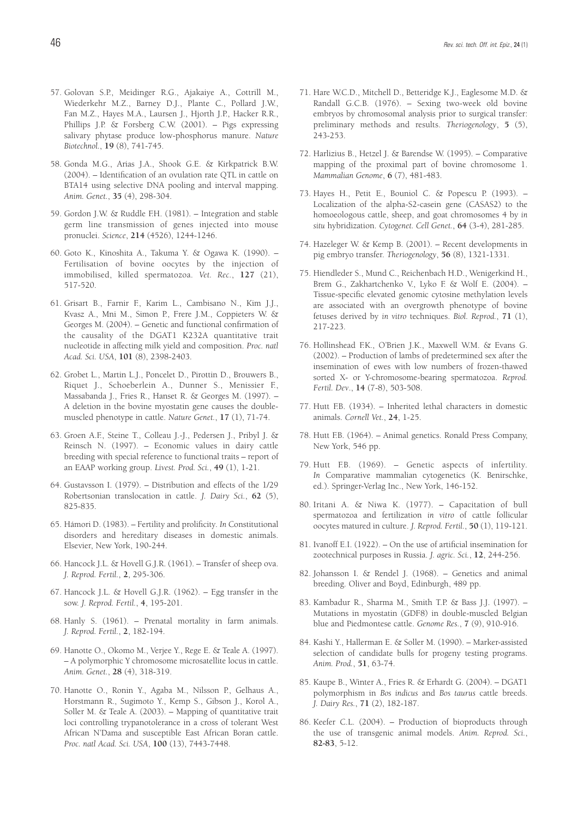- 57. Golovan S.P., Meidinger R.G., Ajakaiye A., Cottrill M., Wiederkehr M.Z., Barney D.J., Plante C., Pollard J.W., Fan M.Z., Hayes M.A., Laursen J., Hjorth J.P., Hacker R.R., Phillips J.P. & Forsberg C.W. (2001). – Pigs expressing salivary phytase produce low-phosphorus manure. *Nature Biotechnol.*, **19** (8), 741-745.
- 58. Gonda M.G., Arias J.A., Shook G.E. & Kirkpatrick B.W. (2004). – Identification of an ovulation rate QTL in cattle on BTA14 using selective DNA pooling and interval mapping. *Anim. Genet.*, **35** (4), 298-304.
- 59. Gordon J.W. & Ruddle F.H. (1981). Integration and stable germ line transmission of genes injected into mouse pronuclei. *Science*, **214** (4526), 1244-1246.
- 60. Goto K., Kinoshita A., Takuma Y. & Ogawa K. (1990). Fertilisation of bovine oocytes by the injection of immobilised, killed spermatozoa. *Vet. Rec.*, **127** (21), 517-520.
- 61. Grisart B., Farnir F., Karim L., Cambisano N., Kim J.J., Kvasz A., Mni M., Simon P., Frere J.M., Coppieters W. & Georges M. (2004). – Genetic and functional confirmation of the causality of the DGAT1 K232A quantitative trait nucleotide in affecting milk yield and composition. *Proc. natl Acad. Sci. USA*, **101** (8), 2398-2403.
- 62. Grobet L., Martin L.J., Poncelet D., Pirottin D., Brouwers B., Riquet J., Schoeberlein A., Dunner S., Menissier F., Massabanda J., Fries R., Hanset R. & Georges M. (1997). – A deletion in the bovine myostatin gene causes the doublemuscled phenotype in cattle. *Nature Genet.*, **17** (1), 71-74.
- 63. Groen A.F., Steine T., Colleau J.-J., Pedersen J., Pribyl J. & Reinsch N. (1997). – Economic values in dairy cattle breeding with special reference to functional traits – report of an EAAP working group. *Livest. Prod. Sci.*, **49** (1), 1-21.
- 64. Gustavsson I. (1979). Distribution and effects of the 1/29 Robertsonian translocation in cattle. *J. Dairy Sci.*, **62** (5), 825-835.
- 65. Hámori D. (1983). Fertility and prolificity*. In* Constitutional disorders and hereditary diseases in domestic animals. Elsevier, New York, 190-244.
- 66. Hancock J.L. & Hovell G.J.R. (1961). Transfer of sheep ova. *J. Reprod. Fertil.*, **2**, 295-306.
- 67. Hancock J.L. & Hovell G.J.R. (1962). Egg transfer in the sow. *J. Reprod. Fertil.*, **4**, 195-201.
- 68. Hanly S. (1961). Prenatal mortality in farm animals. *J. Reprod. Fertil.*, **2**, 182-194.
- 69. Hanotte O., Okomo M., Verjee Y., Rege E. & Teale A. (1997). – A polymorphic Y chromosome microsatellite locus in cattle. *Anim. Genet.*, **28** (4), 318-319.
- 70. Hanotte O., Ronin Y., Agaba M., Nilsson P., Gelhaus A., Horstmann R., Sugimoto Y., Kemp S., Gibson J., Korol A., Soller M. & Teale A. (2003). – Mapping of quantitative trait loci controlling trypanotolerance in a cross of tolerant West African N'Dama and susceptible East African Boran cattle. *Proc. natl Acad. Sci. USA*, **100** (13), 7443-7448.
- 71. Hare W.C.D., Mitchell D., Betteridge K.J., Eaglesome M.D. & Randall G.C.B. (1976). – Sexing two-week old bovine embryos by chromosomal analysis prior to surgical transfer: preliminary methods and results. *Theriogenology*, **5** (5), 243-253.
- 72. Harlizius B., Hetzel J. & Barendse W. (1995). Comparative mapping of the proximal part of bovine chromosome 1. *Mammalian Genome*, **6** (7), 481-483.
- 73. Hayes H., Petit E., Bouniol C. & Popescu P. (1993). Localization of the alpha-S2-casein gene (CASAS2) to the homoeologous cattle, sheep, and goat chromosomes 4 by *in situ* hybridization. *Cytogenet. Cell Genet.*, **64** (3-4), 281-285.
- 74. Hazeleger W. & Kemp B. (2001). Recent developments in pig embryo transfer. *Theriogenology*, **56** (8), 1321-1331.
- 75. Hiendleder S., Mund C., Reichenbach H.D., Wenigerkind H., Brem G., Zakhartchenko V., Lyko F. & Wolf E. (2004). – Tissue-specific elevated genomic cytosine methylation levels are associated with an overgrowth phenotype of bovine fetuses derived by *in vitro* techniques. *Biol. Reprod.*, **71** (1), 217-223.
- 76. Hollinshead F.K., O'Brien J.K., Maxwell W.M. & Evans G. (2002). – Production of lambs of predetermined sex after the insemination of ewes with low numbers of frozen-thawed sorted X- or Y-chromosome-bearing spermatozoa. *Reprod. Fertil. Dev*., **14** (7-8), 503-508.
- 77. Hutt F.B. (1934). Inherited lethal characters in domestic animals. *Cornell Vet.*, **24**, 1-25.
- 78. Hutt F.B. (1964). Animal genetics. Ronald Press Company, New York, 546 pp.
- 79. Hutt F.B. (1969). Genetic aspects of infertility*. In* Comparative mammalian cytogenetics (K. Benirschke, ed.). Springer-Verlag Inc., New York, 146-152.
- 80. Iritani A. & Niwa K. (1977). Capacitation of bull spermatozoa and fertilization *in vitro* of cattle follicular oocytes matured in culture. *J. Reprod. Fertil.*, **50** (1), 119-121.
- 81. Ivanoff E.I. (1922). On the use of artificial insemination for zootechnical purposes in Russia. *J. agric. Sci.*, **12**, 244-256.
- 82. Johansson I. & Rendel J. (1968). Genetics and animal breeding. Oliver and Boyd, Edinburgh, 489 pp.
- 83. Kambadur R., Sharma M., Smith T.P. & Bass J.J. (1997). Mutations in myostatin (GDF8) in double-muscled Belgian blue and Piedmontese cattle. *Genome Res.*, **7** (9), 910-916.
- 84. Kashi Y., Hallerman E. & Soller M. (1990). Marker-assisted selection of candidate bulls for progeny testing programs. *Anim. Prod.*, **51**, 63-74.
- 85. Kaupe B., Winter A., Fries R. & Erhardt G. (2004). DGAT1 polymorphism in *Bos indicus* and *Bos taurus* cattle breeds. *J. Dairy Res.*, **71** (2), 182-187.
- 86. Keefer C.L. (2004). Production of bioproducts through the use of transgenic animal models. *Anim. Reprod. Sci.*, **82-83**, 5-12.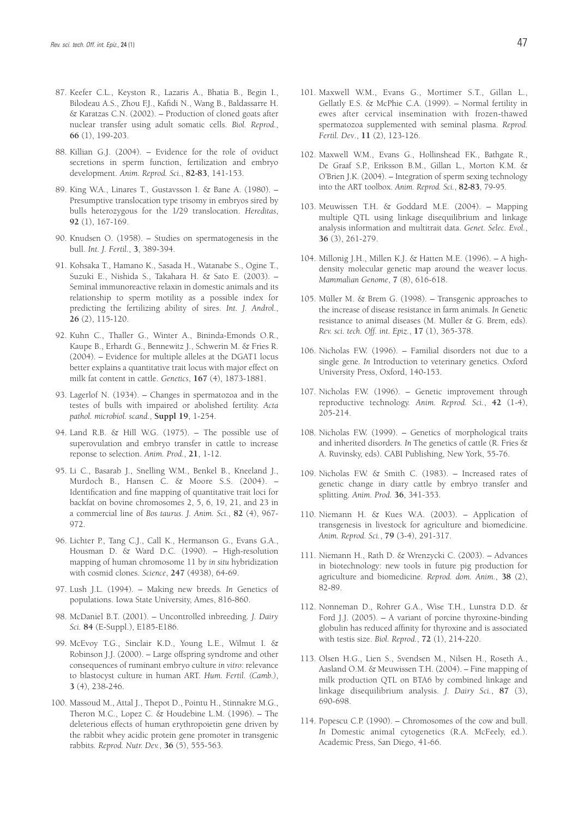- 87. Keefer C.L., Keyston R., Lazaris A., Bhatia B., Begin I., Bilodeau A.S., Zhou F.J., Kafidi N., Wang B., Baldassarre H. & Karatzas C.N. (2002). – Production of cloned goats after nuclear transfer using adult somatic cells. *Biol. Reprod.*, **66** (1), 199-203.
- 88. Killian G.J. (2004). Evidence for the role of oviduct secretions in sperm function, fertilization and embryo development. *Anim. Reprod. Sci.*, **82-83**, 141-153.
- 89. King W.A., Linares T., Gustavsson I. & Bane A. (1980). Presumptive translocation type trisomy in embryos sired by bulls heterozygous for the 1/29 translocation. *Hereditas*, **92** (1), 167-169.
- 90. Knudsen O. (1958). Studies on spermatogenesis in the bull. *Int. J. Fertil.*, **3**, 389-394.
- 91. Kohsaka T., Hamano K., Sasada H., Watanabe S., Ogine T., Suzuki E., Nishida S., Takahara H. & Sato E. (2003). – Seminal immunoreactive relaxin in domestic animals and its relationship to sperm motility as a possible index for predicting the fertilizing ability of sires. *Int. J. Androl.*, **26** (2), 115-120.
- 92. Kuhn C., Thaller G., Winter A., Bininda-Emonds O.R., Kaupe B., Erhardt G., Bennewitz J., Schwerin M. & Fries R. (2004). – Evidence for multiple alleles at the DGAT1 locus better explains a quantitative trait locus with major effect on milk fat content in cattle. *Genetics*, **167** (4), 1873-1881.
- 93. Lagerlof N. (1934). Changes in spermatozoa and in the testes of bulls with impaired or abolished fertility. *Acta pathol. microbiol. scand.*, **Suppl 19**, 1-254.
- 94. Land R.B. & Hill W.G. (1975). The possible use of superovulation and embryo transfer in cattle to increase reponse to selection. *Anim. Prod.*, **21**, 1-12.
- 95. Li C., Basarab J., Snelling W.M., Benkel B., Kneeland J., Murdoch B., Hansen C. & Moore S.S. (2004). – Identification and fine mapping of quantitative trait loci for backfat on bovine chromosomes 2, 5, 6, 19, 21, and 23 in a commercial line of *Bos taurus*. *J. Anim. Sci.*, **82** (4), 967- 972.
- 96. Lichter P., Tang C.J., Call K., Hermanson G., Evans G.A., Housman D. & Ward D.C. (1990). – High-resolution mapping of human chromosome 11 by *in situ* hybridization with cosmid clones. *Science*, **247** (4938), 64-69.
- 97. Lush J.L. (1994). Making new breeds*. In* Genetics of populations. Iowa State University, Ames, 816-860.
- 98. McDaniel B.T. (2001). Uncontrolled inbreeding. *J. Dairy Sci.* **84** (E-Suppl.), E185-E186.
- 99. McEvoy T.G., Sinclair K.D., Young L.E., Wilmut I. & Robinson J.J. (2000). – Large offspring syndrome and other consequences of ruminant embryo culture *in vitro*: relevance to blastocyst culture in human ART. *Hum. Fertil. (Camb.)*, **3** (4), 238-246.
- 100. Massoud M., Attal J., Thepot D., Pointu H., Stinnakre M.G., Theron M.C., Lopez C. & Houdebine L.M. (1996). – The deleterious effects of human erythropoietin gene driven by the rabbit whey acidic protein gene promoter in transgenic rabbits. *Reprod. Nutr. Dev.*, **36** (5), 555-563.
- 101. Maxwell W.M., Evans G., Mortimer S.T., Gillan L., Gellatly E.S. & McPhie C.A. (1999). – Normal fertility in ewes after cervical insemination with frozen-thawed spermatozoa supplemented with seminal plasma. *Reprod. Fertil. Dev*., **11** (2), 123-126.
- 102. Maxwell W.M., Evans G., Hollinshead F.K., Bathgate R., De Graaf S.P., Eriksson B.M., Gillan L., Morton K.M. & O'Brien J.K. (2004). – Integration of sperm sexing technology into the ART toolbox. *Anim. Reprod. Sci.*, **82-83**, 79-95.
- 103. Meuwissen T.H. & Goddard M.E. (2004). Mapping multiple QTL using linkage disequilibrium and linkage analysis information and multitrait data. *Genet. Selec. Evol.*, **36** (3), 261-279.
- 104. Millonig J.H., Millen K.J. & Hatten M.E. (1996). A highdensity molecular genetic map around the weaver locus. *Mammalian Genome*, **7** (8), 616-618.
- 105. Müller M. & Brem G. (1998). Transgenic approaches to the increase of disease resistance in farm animals*. In* Genetic resistance to animal diseases (M. Müller & G. Brem, eds). *Rev. sci. tech. Off. int. Epiz.*, **17** (1), 365-378.
- 106. Nicholas F.W. (1996). Familial disorders not due to a single gene*. In* Introduction to veterinary genetics. Oxford University Press, Oxford, 140-153.
- 107. Nicholas F.W. (1996). Genetic improvement through reproductive technology. *Anim. Reprod. Sci.*, **42** (1-4), 205-214.
- 108. Nicholas F.W. (1999). Genetics of morphological traits and inherited disorders. *In* The genetics of cattle (R. Fries & A. Ruvinsky, eds). CABI Publishing, New York, 55-76.
- 109. Nicholas F.W. & Smith C. (1983). Increased rates of genetic change in diary cattle by embryo transfer and splitting. *Anim. Prod.* **36**, 341-353.
- 110. Niemann H. & Kues W.A. (2003). Application of transgenesis in livestock for agriculture and biomedicine. *Anim. Reprod. Sci.*, **79** (3-4), 291-317.
- 111. Niemann H., Rath D. & Wrenzycki C. (2003). Advances in biotechnology: new tools in future pig production for agriculture and biomedicine. *Reprod. dom. Anim.*, **38** (2), 82-89.
- 112. Nonneman D., Rohrer G.A., Wise T.H., Lunstra D.D. & Ford J.J. (2005). – A variant of porcine thyroxine-binding globulin has reduced affinity for thyroxine and is associated with testis size. *Biol. Reprod.*, **72** (1), 214-220.
- 113. Olsen H.G., Lien S., Svendsen M., Nilsen H., Roseth A., Aasland O.M. & Meuwissen T.H. (2004). – Fine mapping of milk production QTL on BTA6 by combined linkage and linkage disequilibrium analysis. *J. Dairy Sci.*, **87** (3), 690-698.
- 114. Popescu C.P. (1990). Chromosomes of the cow and bull. *In Domestic animal cytogenetics (R.A. McFeely, ed.).* Academic Press, San Diego, 41-66.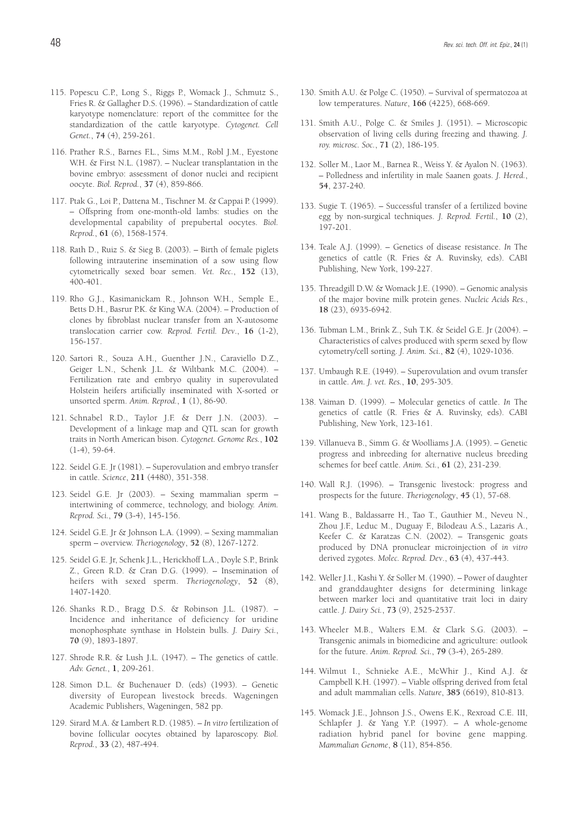- 115. Popescu C.P., Long S., Riggs P., Womack J., Schmutz S., Fries R. & Gallagher D.S. (1996). – Standardization of cattle karyotype nomenclature: report of the committee for the standardization of the cattle karyotype. *Cytogenet. Cell Genet.*, **74** (4), 259-261.
- 116. Prather R.S., Barnes F.L., Sims M.M., Robl J.M., Eyestone W.H. & First N.L. (1987). – Nuclear transplantation in the bovine embryo: assessment of donor nuclei and recipient oocyte. *Biol. Reprod.*, **37** (4), 859-866.
- 117. Ptak G., Loi P., Dattena M., Tischner M. & Cappai P. (1999). – Offspring from one-month-old lambs: studies on the developmental capability of prepubertal oocytes. *Biol. Reprod.*, **61** (6), 1568-1574.
- 118. Rath D., Ruiz S. & Sieg B. (2003). Birth of female piglets following intrauterine insemination of a sow using flow cytometrically sexed boar semen. *Vet. Rec.*, **152** (13), 400-401.
- 119. Rho G.J., Kasimanickam R., Johnson W.H., Semple E., Betts D.H., Basrur P.K. & King W.A. (2004). – Production of clones by fibroblast nuclear transfer from an X-autosome translocation carrier cow. *Reprod. Fertil. Dev*., **16** (1-2), 156-157.
- 120. Sartori R., Souza A.H., Guenther J.N., Caraviello D.Z., Geiger L.N., Schenk J.L. & Wiltbank M.C. (2004). – Fertilization rate and embryo quality in superovulated Holstein heifers artificially inseminated with X-sorted or unsorted sperm. *Anim. Reprod.*, **1** (1), 86-90.
- 121. Schnabel R.D., Taylor J.F. & Derr J.N. (2003). Development of a linkage map and QTL scan for growth traits in North American bison. *Cytogenet. Genome Res.*, **102**  $(1-4)$ , 59-64.
- 122. Seidel G.E. Jr (1981). Superovulation and embryo transfer in cattle. *Science*, **211** (4480), 351-358.
- 123. Seidel G.E. Jr (2003). Sexing mammalian sperm intertwining of commerce, technology, and biology. *Anim. Reprod. Sci.*, **79** (3-4), 145-156.
- 124. Seidel G.E. Jr & Johnson L.A. (1999). Sexing mammalian sperm – overview. *Theriogenology*, **52** (8), 1267-1272.
- 125. Seidel G.E. Jr, Schenk J.L., Herickhoff L.A., Doyle S.P., Brink Z., Green R.D. & Cran D.G. (1999). – Insemination of heifers with sexed sperm. *Theriogenology*, **52** (8), 1407-1420.
- 126. Shanks R.D., Bragg D.S. & Robinson J.L. (1987). Incidence and inheritance of deficiency for uridine monophosphate synthase in Holstein bulls. *J. Dairy Sci.*, **70** (9), 1893-1897.
- 127. Shrode R.R. & Lush J.L. (1947). The genetics of cattle. *Adv. Genet.*, **1**, 209-261.
- 128. Simon D.L. & Buchenauer D. (eds) (1993). Genetic diversity of European livestock breeds. Wageningen Academic Publishers, Wageningen, 582 pp.
- 129. Sirard M.A. & Lambert R.D. (1985). *In vitro* fertilization of bovine follicular oocytes obtained by laparoscopy. *Biol. Reprod.*, **33** (2), 487-494.
- 130. Smith A.U. & Polge C. (1950). Survival of spermatozoa at low temperatures. *Nature*, **166** (4225), 668-669.
- 131. Smith A.U., Polge C. & Smiles J. (1951). Microscopic observation of living cells during freezing and thawing. *J. roy. microsc. Soc.*, **71** (2), 186-195.
- 132. Soller M., Laor M., Barnea R., Weiss Y. & Ayalon N. (1963). – Polledness and infertility in male Saanen goats. *J. Hered.*, **54**, 237-240.
- 133. Sugie T. (1965). Successful transfer of a fertilized bovine egg by non-surgical techniques. *J. Reprod. Fertil.*, **10** (2), 197-201.
- 134. Teale A.J. (1999). Genetics of disease resistance. *In* The genetics of cattle (R. Fries & A. Ruvinsky, eds). CABI Publishing, New York, 199-227.
- 135. Threadgill D.W. & Womack J.E. (1990). Genomic analysis of the major bovine milk protein genes. *Nucleic Acids Res.*, **18** (23), 6935-6942.
- 136. Tubman L.M., Brink Z., Suh T.K. & Seidel G.E. Jr (2004). Characteristics of calves produced with sperm sexed by flow cytometry/cell sorting. *J. Anim. Sci.*, **82** (4), 1029-1036.
- 137. Umbaugh R.E. (1949). Superovulation and ovum transfer in cattle. *Am. J. vet. Res.*, **10**, 295-305.
- 138. Vaiman D. (1999). Molecular genetics of cattle. *In* The genetics of cattle (R. Fries & A. Ruvinsky, eds). CABI Publishing, New York, 123-161.
- 139. Villanueva B., Simm G. & Woolliams J.A. (1995). Genetic progress and inbreeding for alternative nucleus breeding schemes for beef cattle. *Anim. Sci.*, **61** (2), 231-239.
- 140. Wall R.J. (1996). Transgenic livestock: progress and prospects for the future. *Theriogenology*, **45** (1), 57-68.
- 141. Wang B., Baldassarre H., Tao T., Gauthier M., Neveu N., Zhou J.F., Leduc M., Duguay F., Bilodeau A.S., Lazaris A., Keefer C. & Karatzas C.N. (2002). – Transgenic goats produced by DNA pronuclear microinjection of *in vitro* derived zygotes. *Molec. Reprod. Dev*., **63** (4), 437-443.
- 142. Weller J.I., Kashi Y. & Soller M. (1990). Power of daughter and granddaughter designs for determining linkage between marker loci and quantitative trait loci in dairy cattle. *J. Dairy Sci.*, **73** (9), 2525-2537.
- 143. Wheeler M.B., Walters E.M. & Clark S.G. (2003). Transgenic animals in biomedicine and agriculture: outlook for the future. *Anim. Reprod. Sci.*, **79** (3-4), 265-289.
- 144. Wilmut I., Schnieke A.E., McWhir J., Kind A.J. & Campbell K.H. (1997). – Viable offspring derived from fetal and adult mammalian cells. *Nature*, **385** (6619), 810-813.
- 145. Womack J.E., Johnson J.S., Owens E.K., Rexroad C.E. III, Schlapfer J. & Yang Y.P. (1997). – A whole-genome radiation hybrid panel for bovine gene mapping. *Mammalian Genome*, **8** (11), 854-856.